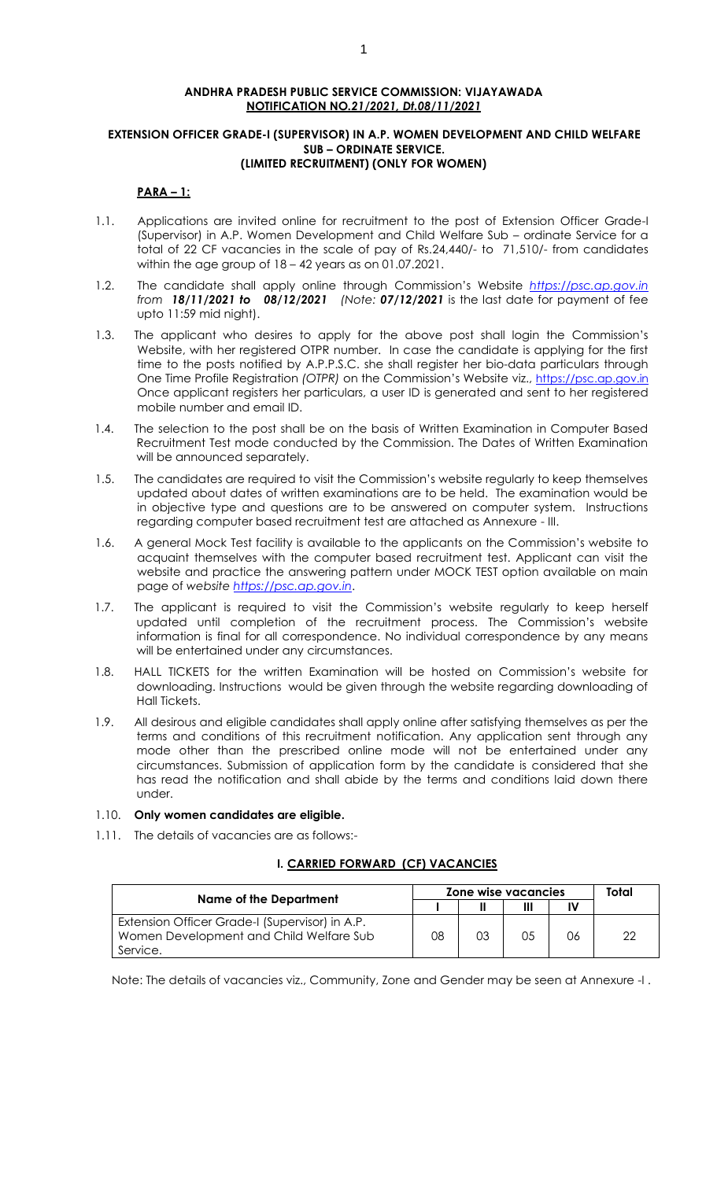#### **ANDHRA PRADESH PUBLIC SERVICE COMMISSION: VIJAYAWADA NOTIFICATION NO***.21/2021, Dt.08/11/2021*

#### **EXTENSION OFFICER GRADE-I (SUPERVISOR) IN A.P. WOMEN DEVELOPMENT AND CHILD WELFARE SUB – ORDINATE SERVICE. (LIMITED RECRUITMENT) (ONLY FOR WOMEN)**

# **PARA – 1:**

- 1.1. Applications are invited online for recruitment to the post of Extension Officer Grade-I (Supervisor) in A.P. Women Development and Child Welfare Sub – ordinate Service for a total of 22 CF vacancies in the scale of pay of Rs.24,440/- to 71,510/- from candidates within the age group of 18 – 42 years as on 01.07.2021.
- 1.2. The candidate shall apply online through Commission's Website *[https://psc.ap.gov.in](https://psc.ap.gov.in/) from 18/11/2021 to 08/12/2021 (Note: 07/12/2021* is the last date for payment of fee upto 11:59 mid night).
- 1.3. The applicant who desires to apply for the above post shall login the Commission's Website, with her registered OTPR number. In case the candidate is applying for the first time to the posts notified by A.P.P.S.C. she shall register her bio-data particulars through One Time Profile Registration *(OTPR)* on the Commission's Website viz., [https://psc.ap.gov.in](https://psc.ap.gov.in/) Once applicant registers her particulars, a user ID is generated and sent to her registered mobile number and email ID.
- 1.4. The selection to the post shall be on the basis of Written Examination in Computer Based Recruitment Test mode conducted by the Commission. The Dates of Written Examination will be announced separately.
- 1.5. The candidates are required to visit the Commission's website regularly to keep themselves updated about dates of written examinations are to be held. The examination would be in objective type and questions are to be answered on computer system. Instructions regarding computer based recruitment test are attached as Annexure - III.
- 1.6. A general Mock Test facility is available to the applicants on the Commission's website to acquaint themselves with the computer based recruitment test. Applicant can visit the website and practice the answering pattern under MOCK TEST option available on main page of *website https://psc.ap.gov.in*.
- 1.7. The applicant is required to visit the Commission's website regularly to keep herself updated until completion of the recruitment process. The Commission's website information is final for all correspondence. No individual correspondence by any means will be entertained under any circumstances.
- 1.8. HALL TICKETS for the written Examination will be hosted on Commission's website for downloading. Instructions would be given through the website regarding downloading of Hall Tickets.
- 1.9. All desirous and eligible candidates shall apply online after satisfying themselves as per the terms and conditions of this recruitment notification. Any application sent through any mode other than the prescribed online mode will not be entertained under any circumstances. Submission of application form by the candidate is considered that she has read the notification and shall abide by the terms and conditions laid down there under.

# 1.10. **Only women candidates are eligible.**

1.11. The details of vacancies are as follows:-

# **I. CARRIED FORWARD (CF) VACANCIES**

|                                                                                                       | Zone wise vacancies | Total |    |    |  |
|-------------------------------------------------------------------------------------------------------|---------------------|-------|----|----|--|
| <b>Name of the Department</b>                                                                         |                     |       |    |    |  |
| Extension Officer Grade-I (Supervisor) in A.P.<br>Women Development and Child Welfare Sub<br>Service. | 08                  | 03    | 05 | 06 |  |

Note: The details of vacancies viz., Community, Zone and Gender may be seen at Annexure -I .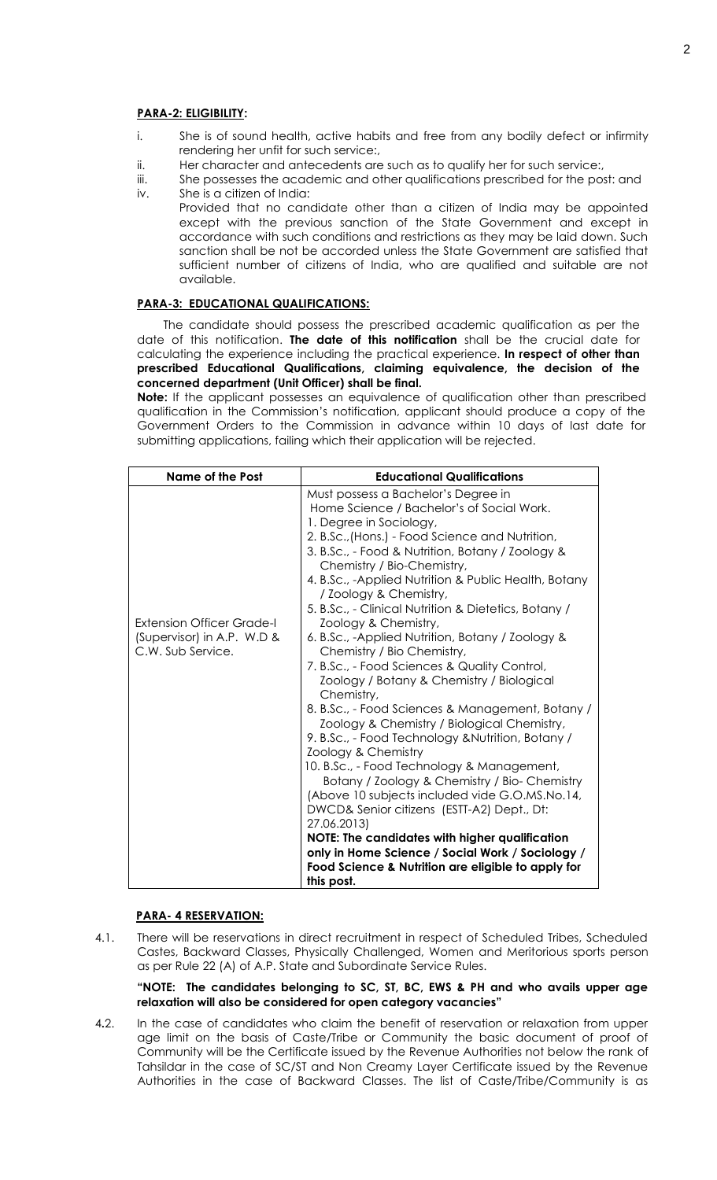#### **PARA-2: ELIGIBILITY:**

- i. She is of sound health, active habits and free from any bodily defect or infirmity rendering her unfit for such service:,
- ii. Her character and antecedents are such as to qualify her for such service:,
- iii. She possesses the academic and other qualifications prescribed for the post: and iv. She is a citizen of India:
- Provided that no candidate other than a citizen of India may be appointed except with the previous sanction of the State Government and except in accordance with such conditions and restrictions as they may be laid down. Such sanction shall be not be accorded unless the State Government are satisfied that sufficient number of citizens of India, who are qualified and suitable are not available.

# **PARA-3: EDUCATIONAL QUALIFICATIONS:**

The candidate should possess the prescribed academic qualification as per the date of this notification. **The date of this notification** shall be the crucial date for calculating the experience including the practical experience. **In respect of other than prescribed Educational Qualifications, claiming equivalence, the decision of the concerned department (Unit Officer) shall be final.**

**Note:** If the applicant possesses an equivalence of qualification other than prescribed qualification in the Commission's notification, applicant should produce a copy of the Government Orders to the Commission in advance within 10 days of last date for submitting applications, failing which their application will be rejected.

| Name of the Post                                                             | <b>Educational Qualifications</b>                                                                                                                                                                                                                                                                                                                                                                                                                                                                                                                                                                                                                                                                                                                                                                                                                                                                                                                                                                                                                                                                                                                                                             |  |  |  |  |  |
|------------------------------------------------------------------------------|-----------------------------------------------------------------------------------------------------------------------------------------------------------------------------------------------------------------------------------------------------------------------------------------------------------------------------------------------------------------------------------------------------------------------------------------------------------------------------------------------------------------------------------------------------------------------------------------------------------------------------------------------------------------------------------------------------------------------------------------------------------------------------------------------------------------------------------------------------------------------------------------------------------------------------------------------------------------------------------------------------------------------------------------------------------------------------------------------------------------------------------------------------------------------------------------------|--|--|--|--|--|
| Extension Officer Grade-I<br>(Supervisor) in A.P. W.D &<br>C.W. Sub Service. | Must possess a Bachelor's Degree in<br>Home Science / Bachelor's of Social Work.<br>1. Degree in Sociology,<br>2. B.Sc., (Hons.) - Food Science and Nutrition,<br>3. B.Sc., - Food & Nutrition, Botany / Zoology &<br>Chemistry / Bio-Chemistry,<br>4. B.Sc., -Applied Nutrition & Public Health, Botany<br>/ Zoology & Chemistry,<br>5. B.Sc., - Clinical Nutrition & Dietetics, Botany /<br>Zoology & Chemistry,<br>6. B.Sc., -Applied Nutrition, Botany / Zoology &<br>Chemistry / Bio Chemistry,<br>7. B.Sc., - Food Sciences & Quality Control,<br>Zoology / Botany & Chemistry / Biological<br>Chemistry,<br>8. B.Sc., - Food Sciences & Management, Botany /<br>Zoology & Chemistry / Biological Chemistry,<br>9. B.Sc., - Food Technology & Nutrition, Botany /<br>Zoology & Chemistry<br>10. B.Sc., - Food Technology & Management,<br>Botany / Zoology & Chemistry / Bio- Chemistry<br>(Above 10 subjects included vide G.O.MS.No.14,<br>DWCD& Senior citizens (ESTT-A2) Dept., Dt:<br>27.06.2013)<br><b>NOTE: The candidates with higher qualification</b><br>only in Home Science / Social Work / Sociology /<br>Food Science & Nutrition are eligible to apply for<br>this post. |  |  |  |  |  |

#### **PARA- 4 RESERVATION:**

4.1. There will be reservations in direct recruitment in respect of Scheduled Tribes, Scheduled Castes, Backward Classes, Physically Challenged, Women and Meritorious sports person as per Rule 22 (A) of A.P. State and Subordinate Service Rules.

#### **"NOTE: The candidates belonging to SC, ST, BC, EWS & PH and who avails upper age relaxation will also be considered for open category vacancies"**

4**.**2. In the case of candidates who claim the benefit of reservation or relaxation from upper age limit on the basis of Caste/Tribe or Community the basic document of proof of Community will be the Certificate issued by the Revenue Authorities not below the rank of Tahsildar in the case of SC/ST and Non Creamy Layer Certificate issued by the Revenue Authorities in the case of Backward Classes. The list of Caste/Tribe/Community is as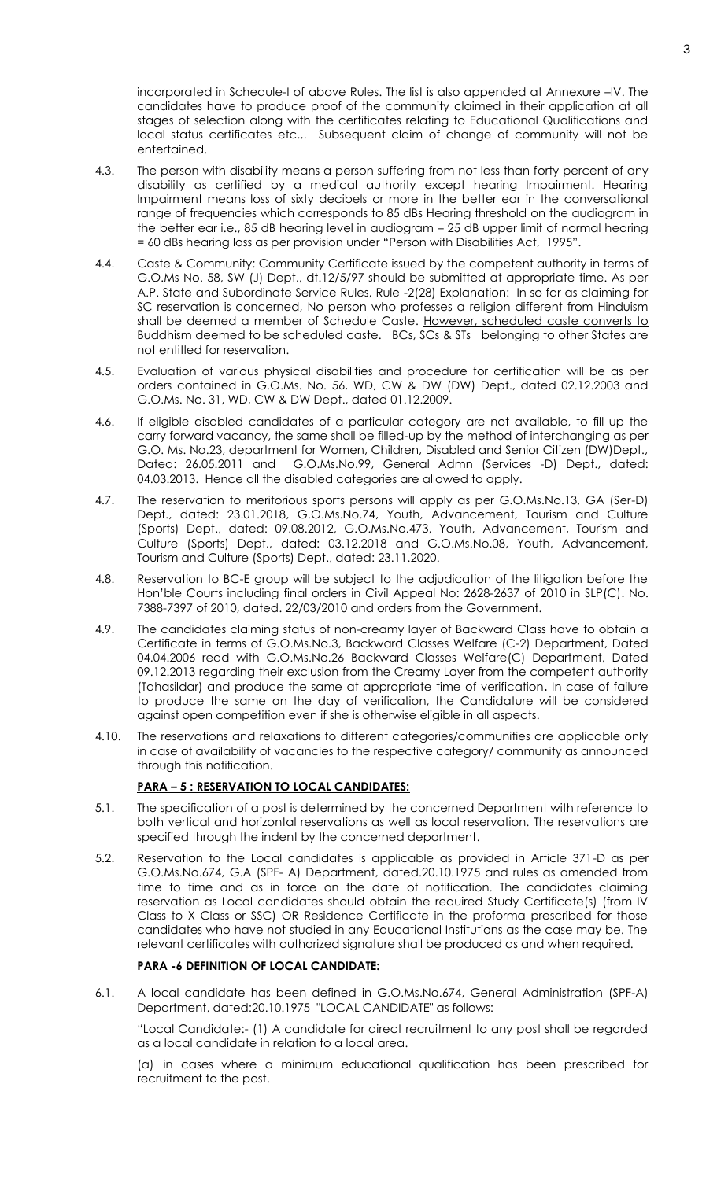incorporated in Schedule-I of above Rules. The list is also appended at Annexure –IV. The candidates have to produce proof of the community claimed in their application at all stages of selection along with the certificates relating to Educational Qualifications and local status certificates etc.,. Subsequent claim of change of community will not be entertained.

- 4.3. The person with disability means a person suffering from not less than forty percent of any disability as certified by a medical authority except hearing Impairment. Hearing Impairment means loss of sixty decibels or more in the better ear in the conversational range of frequencies which corresponds to 85 dBs Hearing threshold on the audiogram in the better ear i.e., 85 dB hearing level in audiogram – 25 dB upper limit of normal hearing = 60 dBs hearing loss as per provision under "Person with Disabilities Act, 1995".
- 4.4. Caste & Community: Community Certificate issued by the competent authority in terms of G.O.Ms No. 58, SW (J) Dept., dt.12/5/97 should be submitted at appropriate time. As per A.P. State and Subordinate Service Rules, Rule -2(28) Explanation: In so far as claiming for SC reservation is concerned, No person who professes a religion different from Hinduism shall be deemed a member of Schedule Caste. However, scheduled caste converts to Buddhism deemed to be scheduled caste. BCs, SCs & STs belonging to other States are not entitled for reservation.
- 4.5. Evaluation of various physical disabilities and procedure for certification will be as per orders contained in G.O.Ms. No. 56, WD, CW & DW (DW) Dept., dated 02.12.2003 and G.O.Ms. No. 31, WD, CW & DW Dept., dated 01.12.2009.
- 4.6. If eligible disabled candidates of a particular category are not available, to fill up the carry forward vacancy, the same shall be filled-up by the method of interchanging as per G.O. Ms. No.23, department for Women, Children, Disabled and Senior Citizen (DW)Dept., Dated: 26.05.2011 and G.O.Ms.No.99, General Admn (Services -D) Dept., dated: 04.03.2013. Hence all the disabled categories are allowed to apply.
- 4.7. The reservation to meritorious sports persons will apply as per G.O.Ms.No.13, GA (Ser-D) Dept., dated: 23.01.2018, G.O.Ms.No.74, Youth, Advancement, Tourism and Culture (Sports) Dept., dated: 09.08.2012, G.O.Ms.No.473, Youth, Advancement, Tourism and Culture (Sports) Dept., dated: 03.12.2018 and G.O.Ms.No.08, Youth, Advancement, Tourism and Culture (Sports) Dept., dated: 23.11.2020.
- 4.8. Reservation to BC-E group will be subject to the adjudication of the litigation before the Hon'ble Courts including final orders in Civil Appeal No: 2628-2637 of 2010 in SLP(C). No. 7388-7397 of 2010, dated. 22/03/2010 and orders from the Government.
- 4.9. The candidates claiming status of non-creamy layer of Backward Class have to obtain a Certificate in terms of G.O.Ms.No.3, Backward Classes Welfare (C-2) Department, Dated 04.04.2006 read with G.O.Ms.No.26 Backward Classes Welfare(C) Department, Dated 09.12.2013 regarding their exclusion from the Creamy Layer from the competent authority (Tahasildar) and produce the same at appropriate time of verification**.** In case of failure to produce the same on the day of verification, the Candidature will be considered against open competition even if she is otherwise eligible in all aspects.
- 4.10. The reservations and relaxations to different categories/communities are applicable only in case of availability of vacancies to the respective category/ community as announced through this notification.

# **PARA – 5 : RESERVATION TO LOCAL CANDIDATES:**

- 5.1. The specification of a post is determined by the concerned Department with reference to both vertical and horizontal reservations as well as local reservation. The reservations are specified through the indent by the concerned department.
- 5.2. Reservation to the Local candidates is applicable as provided in Article 371-D as per G.O.Ms.No.674, G.A (SPF- A) Department, dated.20.10.1975 and rules as amended from time to time and as in force on the date of notification. The candidates claiming reservation as Local candidates should obtain the required Study Certificate(s) (from IV Class to X Class or SSC) OR Residence Certificate in the proforma prescribed for those candidates who have not studied in any Educational Institutions as the case may be. The relevant certificates with authorized signature shall be produced as and when required.

# **PARA -6 DEFINITION OF LOCAL CANDIDATE:**

6.1. A local candidate has been defined in G.O.Ms.No.674, General Administration (SPF-A) Department, dated:20.10.1975 "LOCAL CANDIDATE" as follows:

"Local Candidate:- (1) A candidate for direct recruitment to any post shall be regarded as a local candidate in relation to a local area.

(a) in cases where a minimum educational qualification has been prescribed for recruitment to the post.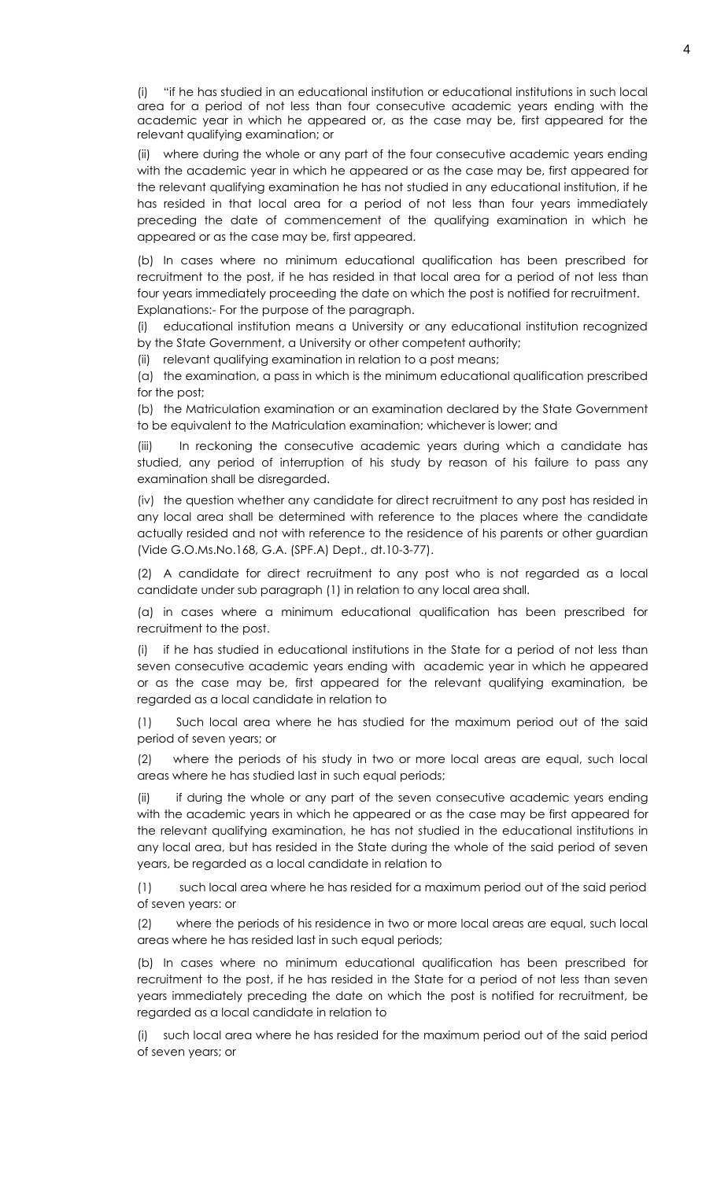(i) "if he has studied in an educational institution or educational institutions in such local area for a period of not less than four consecutive academic years ending with the academic year in which he appeared or, as the case may be, first appeared for the relevant qualifying examination; or

(ii) where during the whole or any part of the four consecutive academic years ending with the academic year in which he appeared or as the case may be, first appeared for the relevant qualifying examination he has not studied in any educational institution, if he has resided in that local area for a period of not less than four years immediately preceding the date of commencement of the qualifying examination in which he appeared or as the case may be, first appeared.

(b) In cases where no minimum educational qualification has been prescribed for recruitment to the post, if he has resided in that local area for a period of not less than four years immediately proceeding the date on which the post is notified for recruitment. Explanations:- For the purpose of the paragraph.

(i) educational institution means a University or any educational institution recognized by the State Government, a University or other competent authority;

(ii) relevant qualifying examination in relation to a post means;

(a) the examination, a pass in which is the minimum educational qualification prescribed for the post;

(b) the Matriculation examination or an examination declared by the State Government to be equivalent to the Matriculation examination; whichever is lower; and

(iii) In reckoning the consecutive academic years during which a candidate has studied, any period of interruption of his study by reason of his failure to pass any examination shall be disregarded.

(iv) the question whether any candidate for direct recruitment to any post has resided in any local area shall be determined with reference to the places where the candidate actually resided and not with reference to the residence of his parents or other guardian (Vide G.O.Ms.No.168, G.A. (SPF.A) Dept., dt.10-3-77).

(2) A candidate for direct recruitment to any post who is not regarded as a local candidate under sub paragraph (1) in relation to any local area shall.

(a) in cases where a minimum educational qualification has been prescribed for recruitment to the post.

(i) if he has studied in educational institutions in the State for a period of not less than seven consecutive academic years ending with academic year in which he appeared or as the case may be, first appeared for the relevant qualifying examination, be regarded as a local candidate in relation to

(1) Such local area where he has studied for the maximum period out of the said period of seven years; or

(2) where the periods of his study in two or more local areas are equal, such local areas where he has studied last in such equal periods;

(ii) if during the whole or any part of the seven consecutive academic years ending with the academic years in which he appeared or as the case may be first appeared for the relevant qualifying examination, he has not studied in the educational institutions in any local area, but has resided in the State during the whole of the said period of seven years, be regarded as a local candidate in relation to

(1) such local area where he has resided for a maximum period out of the said period of seven years: or

(2) where the periods of his residence in two or more local areas are equal, such local areas where he has resided last in such equal periods;

(b) In cases where no minimum educational qualification has been prescribed for recruitment to the post, if he has resided in the State for a period of not less than seven years immediately preceding the date on which the post is notified for recruitment, be regarded as a local candidate in relation to

(i) such local area where he has resided for the maximum period out of the said period of seven years; or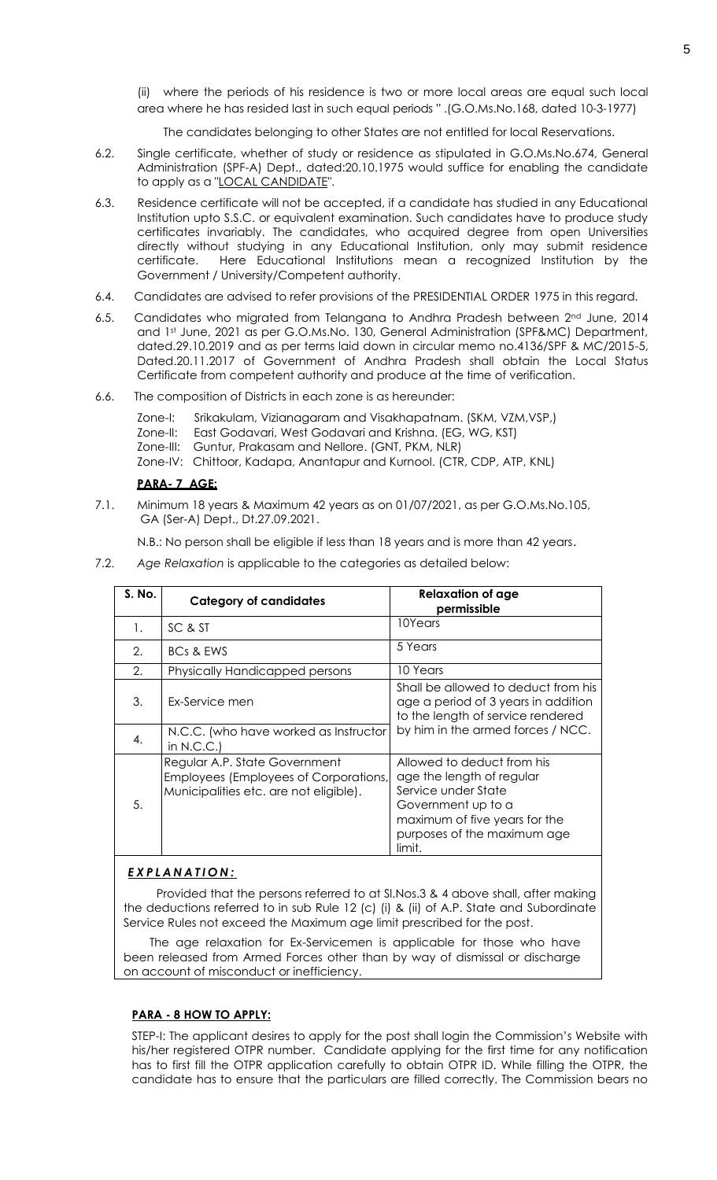(ii) where the periods of his residence is two or more local areas are equal such local area where he has resided last in such equal periods " .(G.O.Ms.No.168, dated 10-3-1977)

The candidates belonging to other States are not entitled for local Reservations.

- 6.2. Single certificate, whether of study or residence as stipulated in G.O.Ms.No.674, General Administration (SPF-A) Dept., dated:20.10.1975 would suffice for enabling the candidate to apply as a "LOCAL CANDIDATE".
- 6.3. Residence certificate will not be accepted, if a candidate has studied in any Educational Institution upto S.S.C. or equivalent examination. Such candidates have to produce study certificates invariably. The candidates, who acquired degree from open Universities directly without studying in any Educational Institution, only may submit residence certificate. Here Educational Institutions mean a recognized Institution by the Government / University/Competent authority.
- 6.4. Candidates are advised to refer provisions of the PRESIDENTIAL ORDER 1975 in this regard.
- 6.5. Candidates who migrated from Telangana to Andhra Pradesh between  $2^{nd}$  June, 2014 and 1st June, 2021 as per G.O.Ms.No. 130, General Administration (SPF&MC) Department, dated.29.10.2019 and as per terms laid down in circular memo no.4136/SPF & MC/2015-5, Dated.20.11.2017 of Government of Andhra Pradesh shall obtain the Local Status Certificate from competent authority and produce at the time of verification.
- 6.6. The composition of Districts in each zone is as hereunder:
	- Zone-I: Srikakulam, Vizianagaram and Visakhapatnam. (SKM, VZM,VSP,)
	- Zone-II: East Godavari, West Godavari and Krishna. (EG, WG, KST)
	- Zone-III: Guntur, Prakasam and Nellore. (GNT, PKM, NLR)
	- Zone-IV: Chittoor, Kadapa, Anantapur and Kurnool. (CTR, CDP, ATP, KNL)

# **PARA- 7 AGE:**

7.1. Minimum 18 years & Maximum 42 years as on 01/07/2021, as per G.O.Ms.No.105, GA (Ser-A) Dept., Dt.27.09.2021.

N.B.: No person shall be eligible if less than 18 years and is more than 42 years.

7.2. *Age Relaxation* is applicable to the categories as detailed below:

| S. No. | <b>Category of candidates</b>                                                                                    | <b>Relaxation of age</b><br>permissible                                                                                                                                        |  |  |  |  |  |
|--------|------------------------------------------------------------------------------------------------------------------|--------------------------------------------------------------------------------------------------------------------------------------------------------------------------------|--|--|--|--|--|
| 1.     | SC & ST                                                                                                          | 10Years                                                                                                                                                                        |  |  |  |  |  |
| 2.     | <b>BCs &amp; EWS</b>                                                                                             | 5 Years                                                                                                                                                                        |  |  |  |  |  |
| 2.     | Physically Handicapped persons                                                                                   | 10 Years                                                                                                                                                                       |  |  |  |  |  |
| 3.     | Ex-Service men                                                                                                   | Shall be allowed to deduct from his<br>age a period of 3 years in addition<br>to the length of service rendered                                                                |  |  |  |  |  |
| 4.     | N.C.C. (who have worked as Instructor<br>in $N.C.C.$                                                             | by him in the armed forces / NCC.                                                                                                                                              |  |  |  |  |  |
| 5.     | Regular A.P. State Government<br>Employees (Employees of Corporations,<br>Municipalities etc. are not eligible). | Allowed to deduct from his<br>age the length of regular<br>Service under State<br>Government up to a<br>maximum of five years for the<br>purposes of the maximum age<br>limit. |  |  |  |  |  |

# *E X P L A N A T I O N :*

Provided that the persons referred to at Sl.Nos.3 & 4 above shall, after making the deductions referred to in sub Rule 12 (c) (i) & (ii) of A.P. State and Subordinate Service Rules not exceed the Maximum age limit prescribed for the post.

 The age relaxation for Ex-Servicemen is applicable for those who have been released from Armed Forces other than by way of dismissal or discharge on account of misconduct or inefficiency.

#### **PARA - 8 HOW TO APPLY:**

STEP-I: The applicant desires to apply for the post shall login the Commission's Website with his/her registered OTPR number. Candidate applying for the first time for any notification has to first fill the OTPR application carefully to obtain OTPR ID. While filling the OTPR, the candidate has to ensure that the particulars are filled correctly. The Commission bears no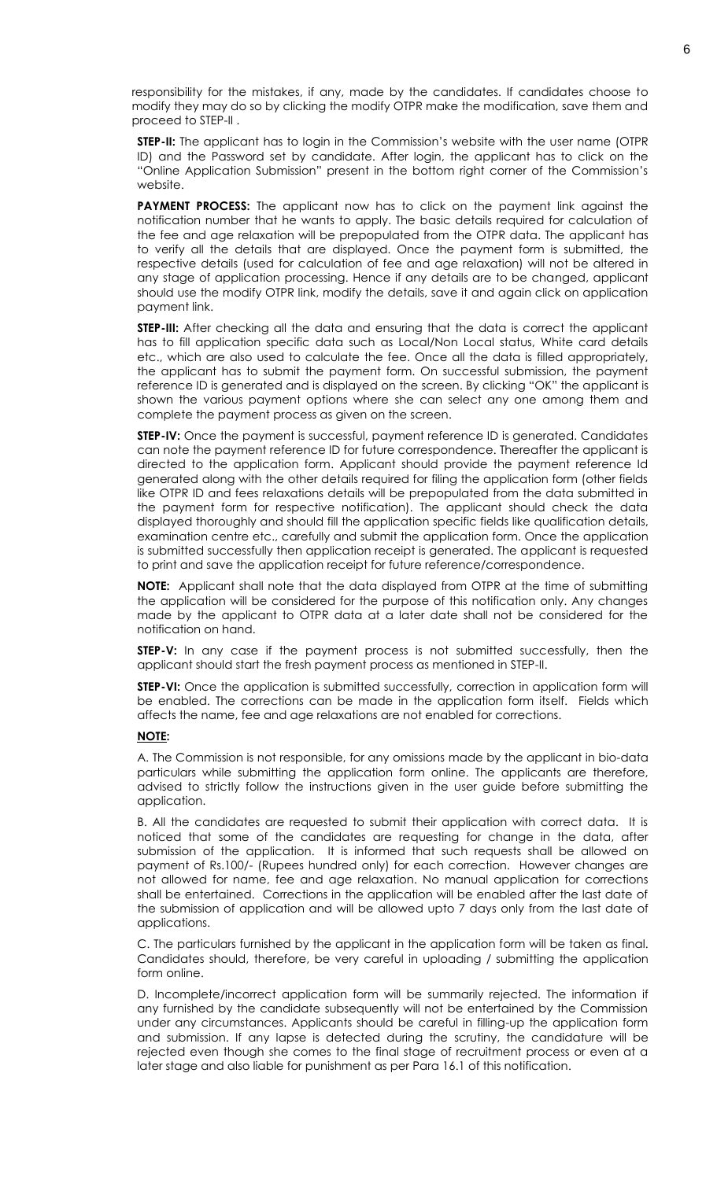responsibility for the mistakes, if any, made by the candidates. If candidates choose to modify they may do so by clicking the modify OTPR make the modification, save them and proceed to STEP-II .

**STEP-II:** The applicant has to login in the Commission's website with the user name (OTPR ID) and the Password set by candidate. After login, the applicant has to click on the "Online Application Submission" present in the bottom right corner of the Commission's website.

PAYMENT PROCESS: The applicant now has to click on the payment link against the notification number that he wants to apply. The basic details required for calculation of the fee and age relaxation will be prepopulated from the OTPR data. The applicant has to verify all the details that are displayed. Once the payment form is submitted, the respective details (used for calculation of fee and age relaxation) will not be altered in any stage of application processing. Hence if any details are to be changed, applicant should use the modify OTPR link, modify the details, save it and again click on application payment link.

**STEP-III:** After checking all the data and ensuring that the data is correct the applicant has to fill application specific data such as Local/Non Local status, White card details etc., which are also used to calculate the fee. Once all the data is filled appropriately, the applicant has to submit the payment form. On successful submission, the payment reference ID is generated and is displayed on the screen. By clicking "OK" the applicant is shown the various payment options where she can select any one among them and complete the payment process as given on the screen.

**STEP-IV:** Once the payment is successful, payment reference ID is generated. Candidates can note the payment reference ID for future correspondence. Thereafter the applicant is directed to the application form. Applicant should provide the payment reference Id generated along with the other details required for filing the application form (other fields like OTPR ID and fees relaxations details will be prepopulated from the data submitted in the payment form for respective notification). The applicant should check the data displayed thoroughly and should fill the application specific fields like qualification details, examination centre etc., carefully and submit the application form. Once the application is submitted successfully then application receipt is generated. The applicant is requested to print and save the application receipt for future reference/correspondence.

**NOTE:** Applicant shall note that the data displayed from OTPR at the time of submitting the application will be considered for the purpose of this notification only. Any changes made by the applicant to OTPR data at a later date shall not be considered for the notification on hand.

**STEP-V:** In any case if the payment process is not submitted successfully, then the applicant should start the fresh payment process as mentioned in STEP-II.

**STEP-VI:** Once the application is submitted successfully, correction in application form will be enabled. The corrections can be made in the application form itself. Fields which affects the name, fee and age relaxations are not enabled for corrections.

#### **NOTE:**

A. The Commission is not responsible, for any omissions made by the applicant in bio-data particulars while submitting the application form online. The applicants are therefore, advised to strictly follow the instructions given in the user guide before submitting the application.

B. All the candidates are requested to submit their application with correct data. It is noticed that some of the candidates are requesting for change in the data, after submission of the application. It is informed that such requests shall be allowed on payment of Rs.100/- (Rupees hundred only) for each correction. However changes are not allowed for name, fee and age relaxation. No manual application for corrections shall be entertained. Corrections in the application will be enabled after the last date of the submission of application and will be allowed upto 7 days only from the last date of applications.

C. The particulars furnished by the applicant in the application form will be taken as final. Candidates should, therefore, be very careful in uploading / submitting the application form online.

D. Incomplete/incorrect application form will be summarily rejected. The information if any furnished by the candidate subsequently will not be entertained by the Commission under any circumstances. Applicants should be careful in filling-up the application form and submission. If any lapse is detected during the scrutiny, the candidature will be rejected even though she comes to the final stage of recruitment process or even at a later stage and also liable for punishment as per Para 16.1 of this notification.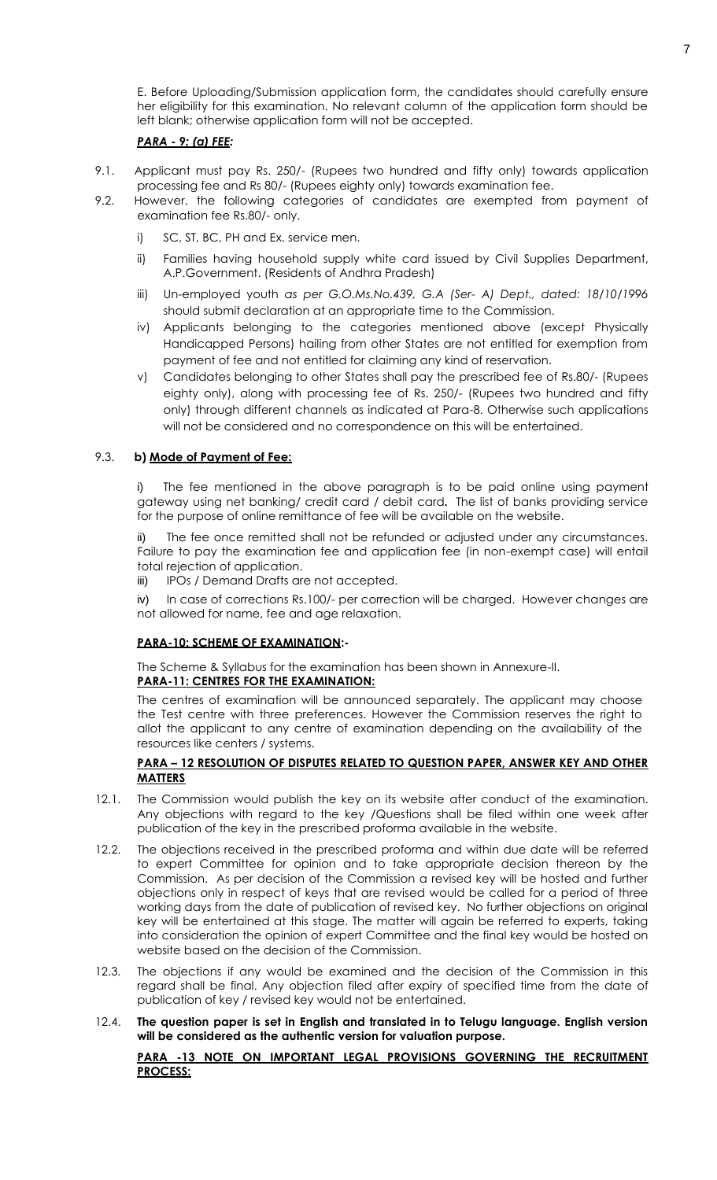E. Before Uploading/Submission application form, the candidates should carefully ensure her eligibility for this examination. No relevant column of the application form should be left blank; otherwise application form will not be accepted.

# *PARA - 9: (a) FEE:*

- 9.1. Applicant must pay Rs. 250/- (Rupees two hundred and fifty only) towards application processing fee and Rs 80/- (Rupees eighty only) towards examination fee.
- 9.2. However, the following categories of candidates are exempted from payment of examination fee Rs.80/- only.
	- i) SC, ST, BC, PH and Ex. service men.
	- ii) Families having household supply white card issued by Civil Supplies Department, A.P.Government. (Residents of Andhra Pradesh)
	- iii) Un-employed youth *as per G.O.Ms.No.439, G.A (Ser- A) Dept., dated: 18/10/1996* should submit declaration at an appropriate time to the Commission.
	- iv) Applicants belonging to the categories mentioned above (except Physically Handicapped Persons) hailing from other States are not entitled for exemption from payment of fee and not entitled for claiming any kind of reservation.
	- v) Candidates belonging to other States shall pay the prescribed fee of Rs.80/- (Rupees eighty only), along with processing fee of Rs. 250/- (Rupees two hundred and fifty only) through different channels as indicated at Para-8. Otherwise such applications will not be considered and no correspondence on this will be entertained.

# 9.3. **b) Mode of Payment of Fee:**

i) The fee mentioned in the above paragraph is to be paid online using payment gateway using net banking/ credit card / debit card**.** The list of banks providing service for the purpose of online remittance of fee will be available on the website.

ii) The fee once remitted shall not be refunded or adjusted under any circumstances. Failure to pay the examination fee and application fee (in non-exempt case) will entail total rejection of application.

iii) IPOs / Demand Drafts are not accepted.

iv) In case of corrections Rs.100/- per correction will be charged. However changes are not allowed for name, fee and age relaxation.

#### **PARA-10: SCHEME OF EXAMINATION:-**

The Scheme & Syllabus for the examination has been shown in Annexure-II. **PARA-11: CENTRES FOR THE EXAMINATION:**

The centres of examination will be announced separately. The applicant may choose the Test centre with three preferences. However the Commission reserves the right to allot the applicant to any centre of examination depending on the availability of the resources like centers / systems.

# **PARA – 12 RESOLUTION OF DISPUTES RELATED TO QUESTION PAPER, ANSWER KEY AND OTHER MATTERS**

- 12.1. The Commission would publish the key on its website after conduct of the examination. Any objections with regard to the key /Questions shall be filed within one week after publication of the key in the prescribed proforma available in the website.
- 12.2. The objections received in the prescribed proforma and within due date will be referred to expert Committee for opinion and to take appropriate decision thereon by the Commission. As per decision of the Commission a revised key will be hosted and further objections only in respect of keys that are revised would be called for a period of three working days from the date of publication of revised key. No further objections on original key will be entertained at this stage. The matter will again be referred to experts, taking into consideration the opinion of expert Committee and the final key would be hosted on website based on the decision of the Commission.
- 12.3. The objections if any would be examined and the decision of the Commission in this regard shall be final. Any objection filed after expiry of specified time from the date of publication of key / revised key would not be entertained.
- 12.4. **The question paper is set in English and translated in to Telugu language. English version will be considered as the authentic version for valuation purpose.**

# **PARA -13 NOTE ON IMPORTANT LEGAL PROVISIONS GOVERNING THE RECRUITMENT PROCESS:**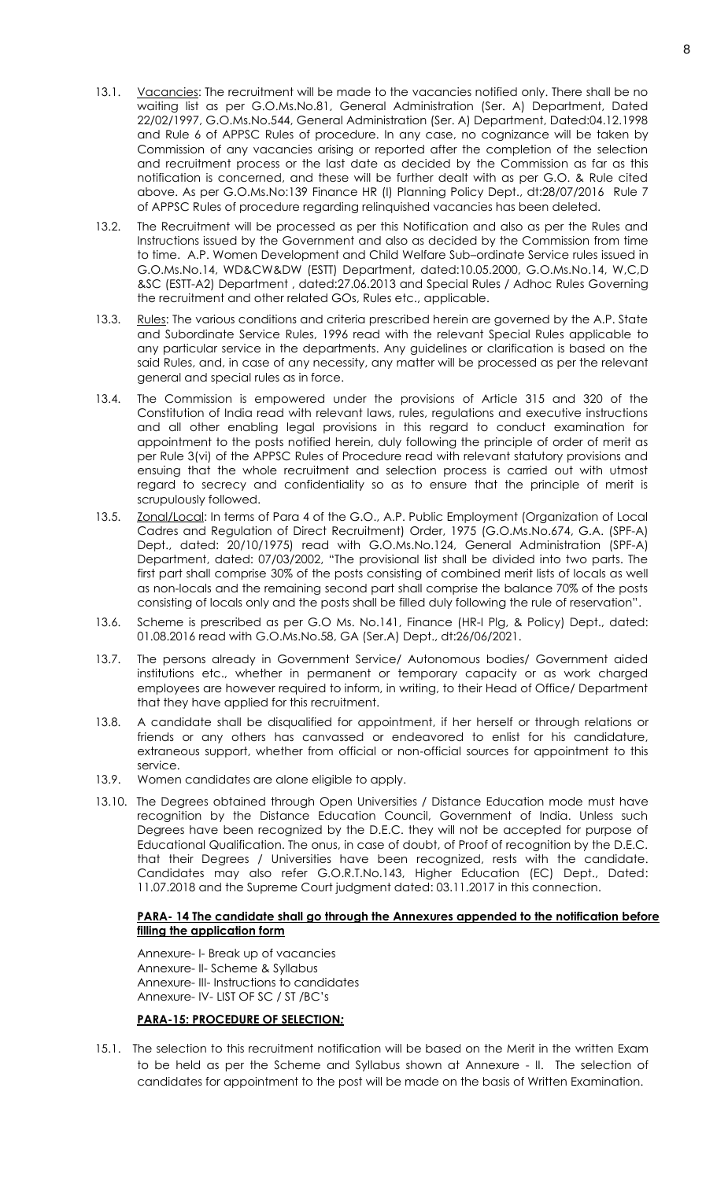- 13.1. Vacancies: The recruitment will be made to the vacancies notified only. There shall be no waiting list as per G.O.Ms.No.81, General Administration (Ser. A) Department, Dated 22/02/1997, G.O.Ms.No.544, General Administration (Ser. A) Department, Dated:04.12.1998 and Rule 6 of APPSC Rules of procedure. In any case, no cognizance will be taken by Commission of any vacancies arising or reported after the completion of the selection and recruitment process or the last date as decided by the Commission as far as this notification is concerned, and these will be further dealt with as per G.O. & Rule cited above. As per G.O.Ms.No:139 Finance HR (I) Planning Policy Dept., dt:28/07/2016 Rule 7 of APPSC Rules of procedure regarding relinquished vacancies has been deleted.
- 13.2. The Recruitment will be processed as per this Notification and also as per the Rules and Instructions issued by the Government and also as decided by the Commission from time to time. A.P. Women Development and Child Welfare Sub–ordinate Service rules issued in G.O.Ms.No.14, WD&CW&DW (ESTT) Department, dated:10.05.2000, G.O.Ms.No.14, W,C,D &SC (ESTT-A2) Department , dated:27.06.2013 and Special Rules / Adhoc Rules Governing the recruitment and other related GOs, Rules etc., applicable.
- 13.3. Rules: The various conditions and criteria prescribed herein are governed by the A.P. State and Subordinate Service Rules, 1996 read with the relevant Special Rules applicable to any particular service in the departments. Any guidelines or clarification is based on the said Rules, and, in case of any necessity, any matter will be processed as per the relevant general and special rules as in force.
- 13.4. The Commission is empowered under the provisions of Article 315 and 320 of the Constitution of India read with relevant laws, rules, regulations and executive instructions and all other enabling legal provisions in this regard to conduct examination for appointment to the posts notified herein, duly following the principle of order of merit as per Rule 3(vi) of the APPSC Rules of Procedure read with relevant statutory provisions and ensuing that the whole recruitment and selection process is carried out with utmost regard to secrecy and confidentiality so as to ensure that the principle of merit is scrupulously followed.
- 13.5. Zonal/Local: In terms of Para 4 of the G.O., A.P. Public Employment (Organization of Local Cadres and Regulation of Direct Recruitment) Order, 1975 (G.O.Ms.No.674, G.A. (SPF-A) Dept., dated: 20/10/1975) read with G.O.Ms.No.124, General Administration (SPF-A) Department, dated: 07/03/2002, "The provisional list shall be divided into two parts. The first part shall comprise 30% of the posts consisting of combined merit lists of locals as well as non-locals and the remaining second part shall comprise the balance 70% of the posts consisting of locals only and the posts shall be filled duly following the rule of reservation".
- 13.6. Scheme is prescribed as per G.O Ms. No.141, Finance (HR-I Plg, & Policy) Dept., dated: 01.08.2016 read with G.O.Ms.No.58, GA (Ser.A) Dept., dt:26/06/2021.
- 13.7. The persons already in Government Service/ Autonomous bodies/ Government aided institutions etc., whether in permanent or temporary capacity or as work charged employees are however required to inform, in writing, to their Head of Office/ Department that they have applied for this recruitment.
- 13.8. A candidate shall be disqualified for appointment, if her herself or through relations or friends or any others has canvassed or endeavored to enlist for his candidature, extraneous support, whether from official or non-official sources for appointment to this service.
- 13.9. Women candidates are alone eligible to apply.
- 13.10. The Degrees obtained through Open Universities / Distance Education mode must have recognition by the Distance Education Council, Government of India. Unless such Degrees have been recognized by the D.E.C. they will not be accepted for purpose of Educational Qualification. The onus, in case of doubt, of Proof of recognition by the D.E.C. that their Degrees / Universities have been recognized, rests with the candidate. Candidates may also refer G.O.R.T.No.143, Higher Education (EC) Dept., Dated: 11.07.2018 and the Supreme Court judgment dated: 03.11.2017 in this connection.

#### **PARA- 14 The candidate shall go through the Annexures appended to the notification before filling the application form**

Annexure- I- Break up of vacancies Annexure- II- Scheme & Syllabus Annexure- III- Instructions to candidates Annexure- IV- LIST OF SC / ST /BC's

# **PARA-15: PROCEDURE OF SELECTION***:*

15.1. The selection to this recruitment notification will be based on the Merit in the written Exam to be held as per the Scheme and Syllabus shown at Annexure - II. The selection of candidates for appointment to the post will be made on the basis of Written Examination.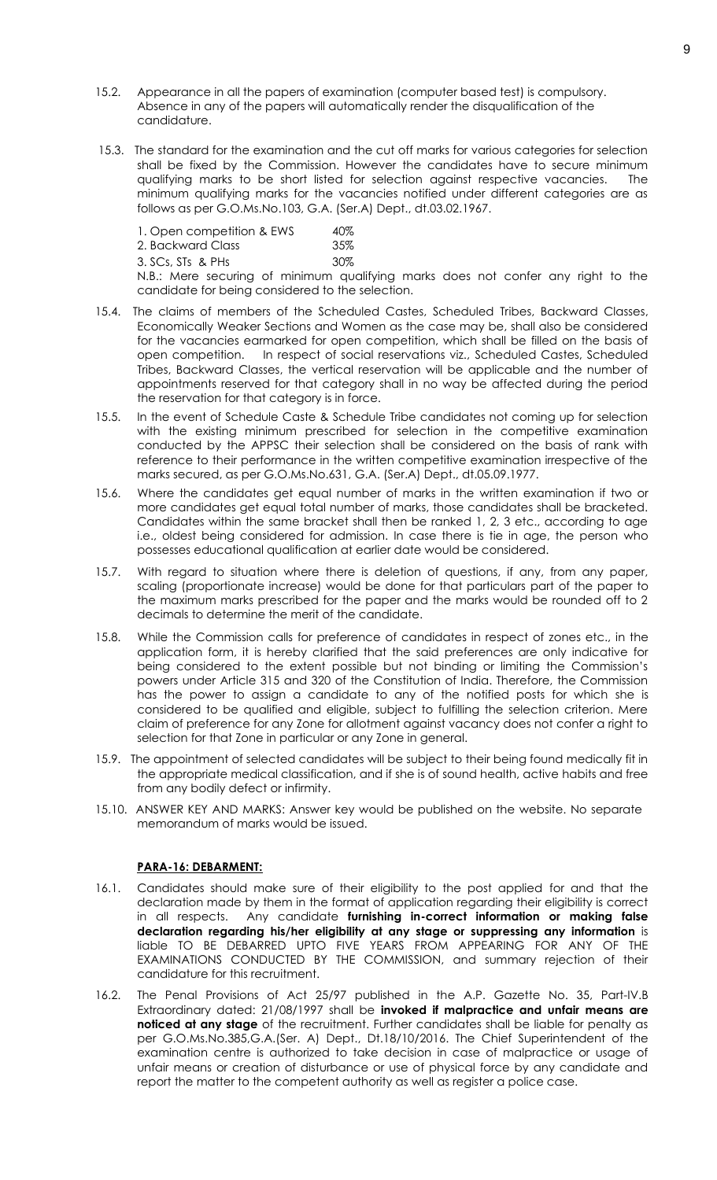- 15.2. Appearance in all the papers of examination (computer based test) is compulsory. Absence in any of the papers will automatically render the disqualification of the candidature.
- 15.3. The standard for the examination and the cut off marks for various categories for selection shall be fixed by the Commission. However the candidates have to secure minimum qualifying marks to be short listed for selection against respective vacancies. The minimum qualifying marks for the vacancies notified under different categories are as follows as per G.O.Ms.No.103, G.A. (Ser.A) Dept., dt.03.02.1967.

| 1. Open competition & EWS            | 40% |
|--------------------------------------|-----|
| 2. Backward Class                    | 35% |
| 3. SCs, STs & PHs                    | 30% |
| N.B.: Mere securing of minimum quali |     |

Ifying marks does not confer any right to the candidate for being considered to the selection.

- 15.4. The claims of members of the Scheduled Castes, Scheduled Tribes, Backward Classes, Economically Weaker Sections and Women as the case may be, shall also be considered for the vacancies earmarked for open competition, which shall be filled on the basis of open competition. In respect of social reservations viz., Scheduled Castes, Scheduled Tribes, Backward Classes, the vertical reservation will be applicable and the number of appointments reserved for that category shall in no way be affected during the period the reservation for that category is in force.
- 15.5. In the event of Schedule Caste & Schedule Tribe candidates not coming up for selection with the existing minimum prescribed for selection in the competitive examination conducted by the APPSC their selection shall be considered on the basis of rank with reference to their performance in the written competitive examination irrespective of the marks secured, as per G.O.Ms.No.631, G.A. (Ser.A) Dept., dt.05.09.1977.
- 15.6. Where the candidates get equal number of marks in the written examination if two or more candidates get equal total number of marks, those candidates shall be bracketed. Candidates within the same bracket shall then be ranked 1, 2, 3 etc., according to age i.e., oldest being considered for admission. In case there is tie in age, the person who possesses educational qualification at earlier date would be considered.
- 15.7. With regard to situation where there is deletion of questions, if any, from any paper, scaling (proportionate increase) would be done for that particulars part of the paper to the maximum marks prescribed for the paper and the marks would be rounded off to 2 decimals to determine the merit of the candidate.
- 15.8. While the Commission calls for preference of candidates in respect of zones etc., in the application form, it is hereby clarified that the said preferences are only indicative for being considered to the extent possible but not binding or limiting the Commission's powers under Article 315 and 320 of the Constitution of India. Therefore, the Commission has the power to assign a candidate to any of the notified posts for which she is considered to be qualified and eligible, subject to fulfilling the selection criterion. Mere claim of preference for any Zone for allotment against vacancy does not confer a right to selection for that Zone in particular or any Zone in general.
- 15.9. The appointment of selected candidates will be subject to their being found medically fit in the appropriate medical classification, and if she is of sound health, active habits and free from any bodily defect or infirmity.
- 15.10. ANSWER KEY AND MARKS: Answer key would be published on the website. No separate memorandum of marks would be issued.

# **PARA-16: DEBARMENT:**

- 16.1. Candidates should make sure of their eligibility to the post applied for and that the declaration made by them in the format of application regarding their eligibility is correct in all respects. Any candidate **furnishing in-correct information or making false declaration regarding his/her eligibility at any stage or suppressing any information** is liable TO BE DEBARRED UPTO FIVE YEARS FROM APPEARING FOR ANY OF THE EXAMINATIONS CONDUCTED BY THE COMMISSION, and summary rejection of their candidature for this recruitment.
- 16.2. The Penal Provisions of Act 25/97 published in the A.P. Gazette No. 35, Part-IV.B Extraordinary dated: 21/08/1997 shall be **invoked if malpractice and unfair means are noticed at any stage** of the recruitment. Further candidates shall be liable for penalty as per G.O.Ms.No.385,G.A.(Ser. A) Dept., Dt.18/10/2016. The Chief Superintendent of the examination centre is authorized to take decision in case of malpractice or usage of unfair means or creation of disturbance or use of physical force by any candidate and report the matter to the competent authority as well as register a police case.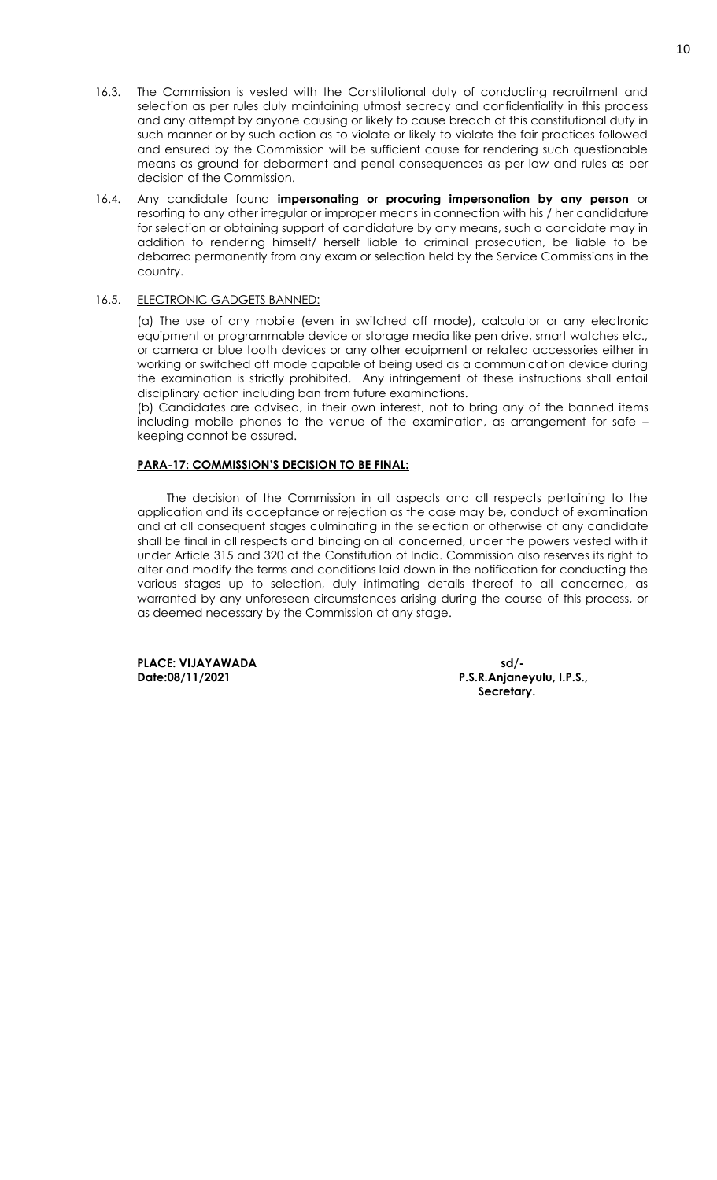- 16.3. The Commission is vested with the Constitutional duty of conducting recruitment and selection as per rules duly maintaining utmost secrecy and confidentiality in this process and any attempt by anyone causing or likely to cause breach of this constitutional duty in such manner or by such action as to violate or likely to violate the fair practices followed and ensured by the Commission will be sufficient cause for rendering such questionable means as ground for debarment and penal consequences as per law and rules as per decision of the Commission.
- 16.4. Any candidate found **impersonating or procuring impersonation by any person** or resorting to any other irregular or improper means in connection with his / her candidature for selection or obtaining support of candidature by any means, such a candidate may in addition to rendering himself/ herself liable to criminal prosecution, be liable to be debarred permanently from any exam or selection held by the Service Commissions in the country.

#### 16.5. ELECTRONIC GADGETS BANNED:

(a) The use of any mobile (even in switched off mode), calculator or any electronic equipment or programmable device or storage media like pen drive, smart watches etc., or camera or blue tooth devices or any other equipment or related accessories either in working or switched off mode capable of being used as a communication device during the examination is strictly prohibited. Any infringement of these instructions shall entail disciplinary action including ban from future examinations.

(b) Candidates are advised, in their own interest, not to bring any of the banned items including mobile phones to the venue of the examination, as arrangement for safe – keeping cannot be assured.

# **PARA-17: COMMISSION'S DECISION TO BE FINAL:**

The decision of the Commission in all aspects and all respects pertaining to the application and its acceptance or rejection as the case may be, conduct of examination and at all consequent stages culminating in the selection or otherwise of any candidate shall be final in all respects and binding on all concerned, under the powers vested with it under Article 315 and 320 of the Constitution of India. Commission also reserves its right to alter and modify the terms and conditions laid down in the notification for conducting the various stages up to selection, duly intimating details thereof to all concerned, as warranted by any unforeseen circumstances arising during the course of this process, or as deemed necessary by the Commission at any stage.

PLACE: VIJAYAWADA sd/-<br>Date:08/11/2021 **blue** P.S.R.Anjane

**Date:08/11/2021 P.S.R.Anjaneyulu, I.P.S., Secretary.**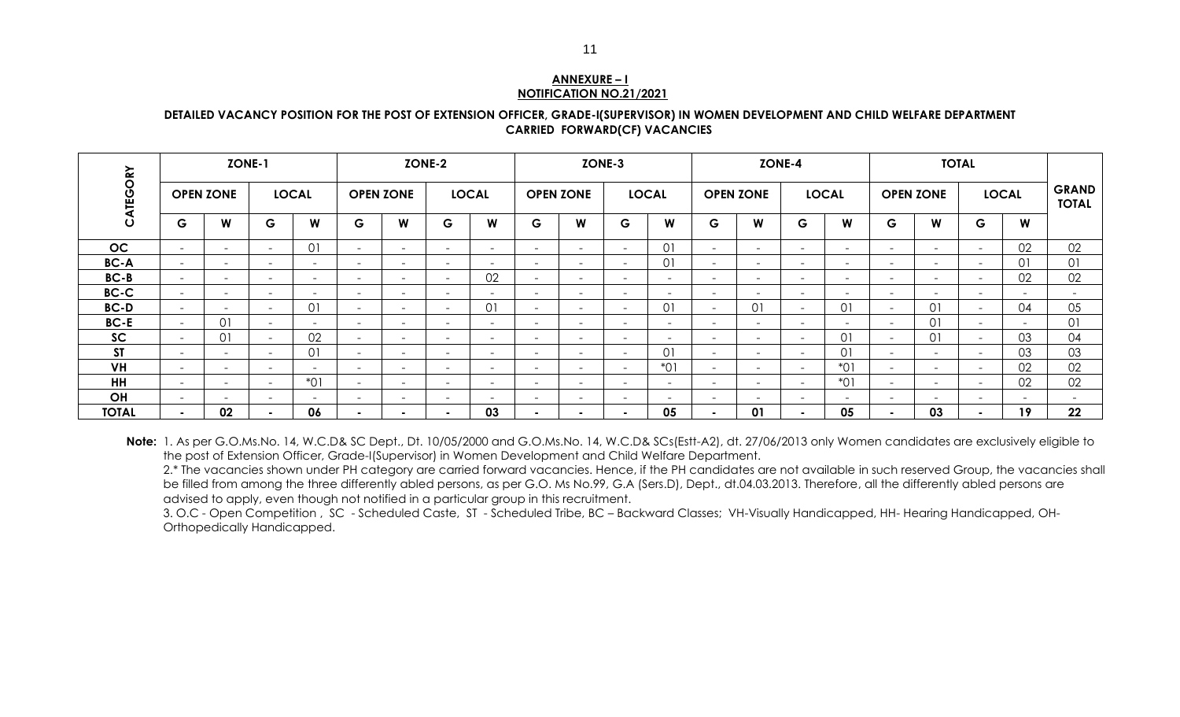#### **ANNEXURE – I NOTIFICATION NO.21/2021**

#### **DETAILED VACANCY POSITION FOR THE POST OF EXTENSION OFFICER, GRADE-I(SUPERVISOR) IN WOMEN DEVELOPMENT AND CHILD WELFARE DEPARTMENT CARRIED FORWARD(CF) VACANCIES**

| <b>ZONE-1</b> |                          |                  | <b>ZONE-2</b> |              |                          |                          | ZONE-3                   |                          |                          | <b>ZONE-4</b>            |                          |                          |                          | <b>TOTAL</b>             |                          |                          |                          |                          |        |              |                              |
|---------------|--------------------------|------------------|---------------|--------------|--------------------------|--------------------------|--------------------------|--------------------------|--------------------------|--------------------------|--------------------------|--------------------------|--------------------------|--------------------------|--------------------------|--------------------------|--------------------------|--------------------------|--------|--------------|------------------------------|
| CATEGORY      |                          | <b>OPEN ZONE</b> |               | <b>LOCAL</b> |                          | <b>OPEN ZONE</b>         |                          | <b>LOCAL</b>             |                          | <b>OPEN ZONE</b>         |                          | <b>LOCAL</b>             |                          | <b>OPEN ZONE</b>         |                          | <b>LOCAL</b>             |                          | <b>OPEN ZONE</b>         |        | <b>LOCAL</b> | <b>GRAND</b><br><b>TOTAL</b> |
|               | G                        | W                | G             | W            | G                        | W                        | G                        | W                        | G                        | W                        | G                        | W                        | G                        | W                        | G                        | W                        | G                        | W                        | G.     | W            |                              |
| OC            | $\overline{\phantom{a}}$ | -                | $\sim$        | 01           | $\overline{\phantom{0}}$ |                          | $\overline{\phantom{0}}$ | -                        | $\overline{\phantom{0}}$ | $\overline{\phantom{a}}$ | $\sim$                   | 01                       | $\overline{\phantom{a}}$ | $\overline{\phantom{a}}$ | -                        | $\overline{\phantom{0}}$ | <b>-</b>                 | $\overline{\phantom{0}}$ | $\sim$ | 02           | 02                           |
| <b>BC-A</b>   | $\overline{\phantom{a}}$ | $\sim$           | $\sim$        | $\sim$       | $\sim$                   | $\sim$                   | $\sim$                   | $\sim$                   | $\sim$                   | $\sim$                   | $\sim$                   | 01                       | $\sim$                   | $\overline{\phantom{0}}$ | $\sim$                   | $\sim$                   | $\overline{\phantom{a}}$ | $\overline{a}$           | $\sim$ | 01           | 01                           |
| $BC-B$        | $\overline{\phantom{a}}$ | $\sim$           | $\sim$        | $\sim$       | $\overline{\phantom{0}}$ | $\sim$                   | $\sim$                   | 02                       | $\overline{\phantom{a}}$ | $\overline{\phantom{a}}$ | $\sim$                   | $\overline{\phantom{0}}$ | $\overline{\phantom{a}}$ | $\overline{\phantom{a}}$ | $\sim$                   | $\overline{\phantom{0}}$ | $\overline{\phantom{a}}$ | $\overline{\phantom{0}}$ | $\sim$ | 02           | 02                           |
| BC-C          | $\sim$                   | $\sim$ .         | $\sim$        | $\sim$       | $\sim$                   | $\sim$                   | $\sim$                   | $\sim$                   | $\sim$                   | $\sim$                   | $\sim$                   | $\sim$                   | $\sim$                   | $\overline{\phantom{0}}$ | $\sim$                   | $\overline{\phantom{a}}$ | $\overline{\phantom{0}}$ | $\overline{a}$           | $\sim$ | $\sim$       |                              |
| <b>BC-D</b>   | $\sim$                   | $\sim$           | $\sim$        | 01           | $\sim$                   | $\sim$                   | $\sim$                   | 01                       | $\sim$                   | $\overline{\phantom{0}}$ | $\sim$                   | 01                       | $\sim$                   | 01                       | $\sim$                   | 01                       | $\overline{\phantom{0}}$ | 01                       | $\sim$ | 04           | 05                           |
| <b>BC-E</b>   | $\overline{a}$           | 01               | $\sim$        | $\sim$       | $\sim$                   | $\sim$                   | $\sim$                   | $\sim$                   | $\sim$                   | $\sim$                   | $\sim$                   | $\sim$                   | $\sim$                   | $\sim$                   | $\sim$                   | $\sim$                   | $\sim$                   | 01                       | $\sim$ | $\sim$       | 01                           |
| SC            | $\overline{\phantom{0}}$ | 01               | $\sim$        | 02           | $\overline{\phantom{a}}$ | $\overline{\phantom{0}}$ | $\overline{\phantom{0}}$ | $\overline{\phantom{0}}$ | $\overline{\phantom{a}}$ | $\overline{\phantom{0}}$ | $\overline{\phantom{a}}$ | $\qquad \qquad$          | $\overline{\phantom{a}}$ | $\overline{\phantom{0}}$ | $\overline{\phantom{a}}$ | 01                       | $\overline{\phantom{a}}$ | 01                       | $\sim$ | 03           | 04                           |
| <b>ST</b>     | $\overline{\phantom{a}}$ | -                | $\sim$        | 01           | $\sim$                   | $\sim$                   | $\sim$                   | $\sim$                   | $\sim$                   | $\overline{\phantom{a}}$ | $\sim$                   | 01                       | $\sim$                   | -                        | $\sim$                   | 01                       | $\overline{\phantom{a}}$ | $\overline{\phantom{0}}$ | $\sim$ | 03           | 03                           |
| <b>VH</b>     | $\overline{\phantom{a}}$ | $\sim$           | $\sim$        | $\sim$       | $\overline{\phantom{a}}$ | $\sim$                   | $\sim$                   | $\overline{\phantom{0}}$ | $\overline{\phantom{a}}$ | $\overline{\phantom{a}}$ | $\overline{\phantom{a}}$ | $*01$                    | $\overline{\phantom{0}}$ |                          | $\sim$                   | $*01$                    | $\overline{\phantom{a}}$ | $\overline{\phantom{0}}$ | $\sim$ | 02           | 02                           |
| HH            | $\overline{\phantom{a}}$ | -                | $\sim$        | $*01$        | $\sim$                   | $\sim$                   | $\sim$                   | $\overline{\phantom{0}}$ | $\overline{\phantom{a}}$ | $\overline{\phantom{0}}$ | $\overline{\phantom{0}}$ | $\overline{\phantom{a}}$ | $\overline{\phantom{a}}$ | $\overline{\phantom{a}}$ | -                        | $*01$                    | $\overline{\phantom{a}}$ | $\overline{\phantom{0}}$ | $\sim$ | 02           | 02                           |
| OH            | $\overline{\phantom{a}}$ | -                | $\sim$        | $\sim$       | $\sim$                   | $\sim$                   | $\sim$                   | $\sim$                   | $\sim$                   | $\sim$                   | $\sim$                   | $\overline{\phantom{0}}$ | $\sim$                   | $\overline{\phantom{a}}$ | $\sim$ .                 | $\sim$                   | $\overline{\phantom{0}}$ | $\equiv$                 | $\sim$ | $\sim$       | $\sim$                       |
| <b>TOTAL</b>  |                          | 02               | <b>.</b>      | 06           | $\overline{\phantom{0}}$ |                          |                          | 03                       | $\blacksquare$           |                          |                          | 05                       | $\blacksquare$           | 01                       |                          | 05                       | $\blacksquare$           | 03                       |        | 19           | 22                           |

**Note:** 1. As per G.O.Ms.No. 14, W.C.D& SC Dept., Dt. 10/05/2000 and G.O.Ms.No. 14, W.C.D& SCs(Estt-A2), dt. 27/06/2013 only Women candidates are exclusively eligible to the post of Extension Officer, Grade-I(Supervisor) in Women Development and Child Welfare Department.

2.\* The vacancies shown under PH category are carried forward vacancies. Hence, if the PH candidates are not available in such reserved Group, the vacancies shall be filled from among the three differently abled persons, as per G.O. Ms No.99, G.A (Sers.D), Dept., dt.04.03.2013. Therefore, all the differently abled persons are advised to apply, even though not notified in a particular group in this recruitment.

3. O.C - Open Competition , SC - Scheduled Caste, ST - Scheduled Tribe, BC – Backward Classes; VH-Visually Handicapped, HH- Hearing Handicapped, OH-Orthopedically Handicapped.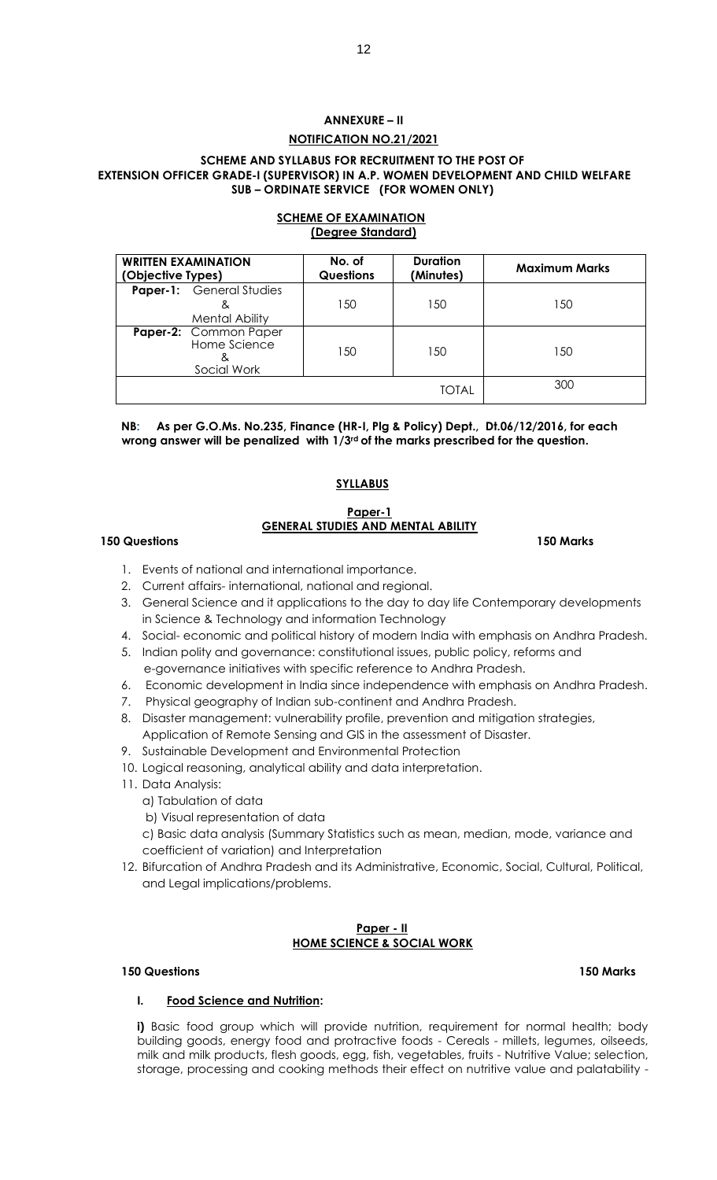# **ANNEXURE – II NOTIFICATION NO.21/2021**

#### **SCHEME AND SYLLABUS FOR RECRUITMENT TO THE POST OF EXTENSION OFFICER GRADE-I (SUPERVISOR) IN A.P. WOMEN DEVELOPMENT AND CHILD WELFARE SUB – ORDINATE SERVICE (FOR WOMEN ONLY)**

#### **SCHEME OF EXAMINATION (Degree Standard)**

| <b>WRITTEN EXAMINATION</b><br>(Objective Types)          | No. of<br><b>Questions</b> | <b>Duration</b><br>(Minutes) | <b>Maximum Marks</b> |  |  |  |
|----------------------------------------------------------|----------------------------|------------------------------|----------------------|--|--|--|
| <b>Paper-1:</b> General Studies<br><b>Mental Ability</b> | 150                        | 150                          | 50                   |  |  |  |
| Paper-2: Common Paper<br>Home Science<br>Social Work     | 150                        | 150                          | 150                  |  |  |  |
|                                                          |                            | TOTAL                        | 300                  |  |  |  |

**NB: As per G.O.Ms. No.235, Finance (HR-I, Plg & Policy) Dept., Dt.06/12/2016, for each wrong answer will be penalized with 1/3rd of the marks prescribed for the question.**

# **SYLLABUS**

# **Paper-1 GENERAL STUDIES AND MENTAL ABILITY**

# **150 Questions 150 Marks**

- 1. Events of national and international importance.
- 2. Current affairs- international, national and regional.
- 3. General Science and it applications to the day to day life Contemporary developments in Science & Technology and information Technology
- 4. Social- economic and political history of modern India with emphasis on Andhra Pradesh.
- 5. Indian polity and governance: constitutional issues, public policy, reforms and e-governance initiatives with specific reference to Andhra Pradesh.
- 6. Economic development in India since independence with emphasis on Andhra Pradesh.
- 7. Physical geography of Indian sub-continent and Andhra Pradesh.
- 8. Disaster management: vulnerability profile, prevention and mitigation strategies, Application of Remote Sensing and GIS in the assessment of Disaster.
- 9. Sustainable Development and Environmental Protection
- 10. Logical reasoning, analytical ability and data interpretation.
- 11. Data Analysis:
	- a) Tabulation of data
	- b) Visual representation of data

c) Basic data analysis (Summary Statistics such as mean, median, mode, variance and coefficient of variation) and Interpretation

12. Bifurcation of Andhra Pradesh and its Administrative, Economic, Social, Cultural, Political, and Legal implications/problems.

# **Paper - II HOME SCIENCE & SOCIAL WORK**

# **150 Questions 150 Marks**

# **I. Food Science and Nutrition:**

**i)** Basic food group which will provide nutrition, requirement for normal health; body building goods, energy food and protractive foods - Cereals - millets, legumes, oilseeds, milk and milk products, flesh goods, egg, fish, vegetables, fruits - Nutritive Value; selection, storage, processing and cooking methods their effect on nutritive value and palatability -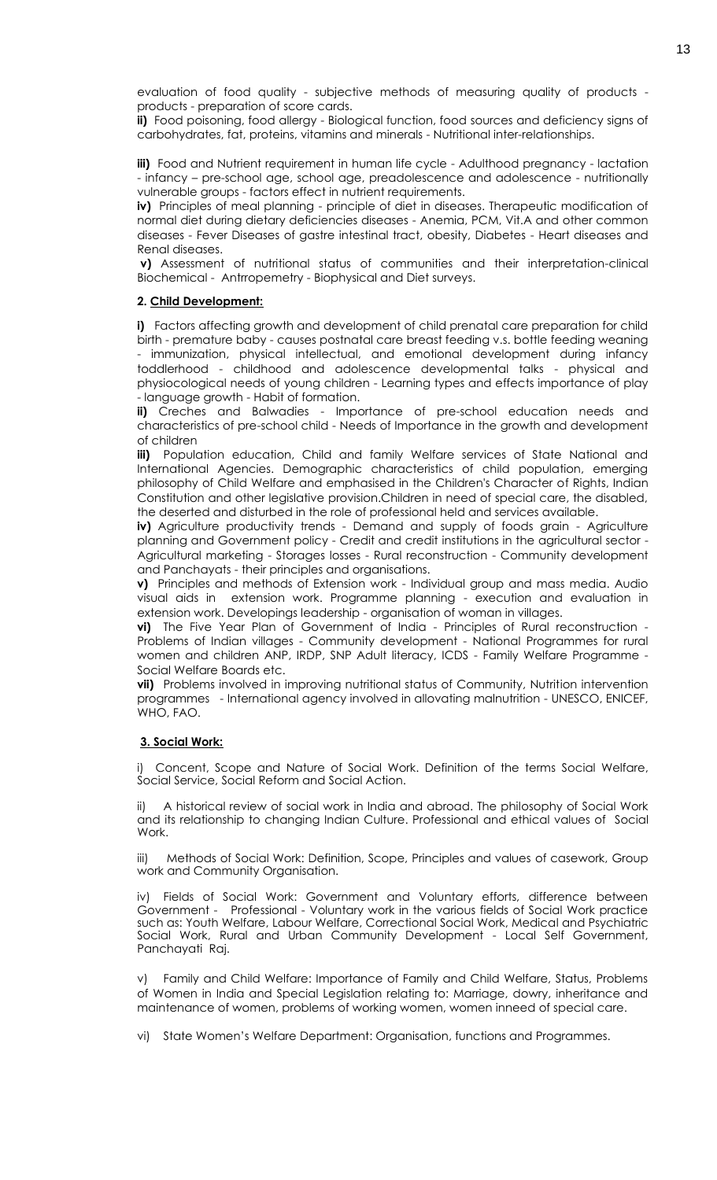evaluation of food quality - subjective methods of measuring quality of products products - preparation of score cards.

**ii)** Food poisoning, food allergy - Biological function, food sources and deficiency signs of carbohydrates, fat, proteins, vitamins and minerals - Nutritional inter-relationships.

**iii)** Food and Nutrient requirement in human life cycle - Adulthood pregnancy - lactation - infancy – pre-school age, school age, preadolescence and adolescence - nutritionally vulnerable groups - factors effect in nutrient requirements.

**iv)** Principles of meal planning - principle of diet in diseases. Therapeutic modification of normal diet during dietary deficiencies diseases - Anemia, PCM, Vit.A and other common diseases - Fever Diseases of gastre intestinal tract, obesity, Diabetes - Heart diseases and Renal diseases.

**v)** Assessment of nutritional status of communities and their interpretation-clinical Biochemical - Antrropemetry - Biophysical and Diet surveys.

#### **2. Child Development:**

**i)** Factors affecting growth and development of child prenatal care preparation for child birth - premature baby - causes postnatal care breast feeding v.s. bottle feeding weaning - immunization, physical intellectual, and emotional development during infancy toddlerhood - childhood and adolescence developmental talks - physical and physiocological needs of young children - Learning types and effects importance of play - language growth - Habit of formation.

**ii)** Creches and Balwadies - Importance of pre-school education needs and characteristics of pre-school child - Needs of Importance in the growth and development of children

**iii)** Population education, Child and family Welfare services of State National and International Agencies. Demographic characteristics of child population, emerging philosophy of Child Welfare and emphasised in the Children's Character of Rights, Indian Constitution and other legislative provision.Children in need of special care, the disabled, the deserted and disturbed in the role of professional held and services available.

**iv)** Agriculture productivity trends - Demand and supply of foods grain - Agriculture planning and Government policy - Credit and credit institutions in the agricultural sector - Agricultural marketing - Storages losses - Rural reconstruction - Community development and Panchayats - their principles and organisations.

**v)** Principles and methods of Extension work - Individual group and mass media. Audio visual aids in extension work. Programme planning - execution and evaluation in extension work. Developings leadership - organisation of woman in villages.

**vi)** The Five Year Plan of Government of India - Principles of Rural reconstruction - Problems of Indian villages - Community development - National Programmes for rural women and children ANP, IRDP, SNP Adult literacy, ICDS - Family Welfare Programme - Social Welfare Boards etc.

**vii)** Problems involved in improving nutritional status of Community, Nutrition intervention programmes - International agency involved in allovating malnutrition - UNESCO, ENICEF, WHO, FAO.

#### **3. Social Work:**

i) Concent, Scope and Nature of Social Work. Definition of the terms Social Welfare, Social Service, Social Reform and Social Action.

A historical review of social work in India and abroad. The philosophy of Social Work and its relationship to changing Indian Culture. Professional and ethical values of Social Work.

iii) Methods of Social Work: Definition, Scope, Principles and values of casework, Group work and Community Organisation.

iv) Fields of Social Work: Government and Voluntary efforts, difference between Government - Professional - Voluntary work in the various fields of Social Work practice such as: Youth Welfare, Labour Welfare, Correctional Social Work, Medical and Psychiatric Social Work, Rural and Urban Community Development - Local Self Government, Panchayati Raj.

v) Family and Child Welfare: Importance of Family and Child Welfare, Status, Problems of Women in India and Special Legislation relating to: Marriage, dowry, inheritance and maintenance of women, problems of working women, women inneed of special care.

vi) State Women's Welfare Department: Organisation, functions and Programmes.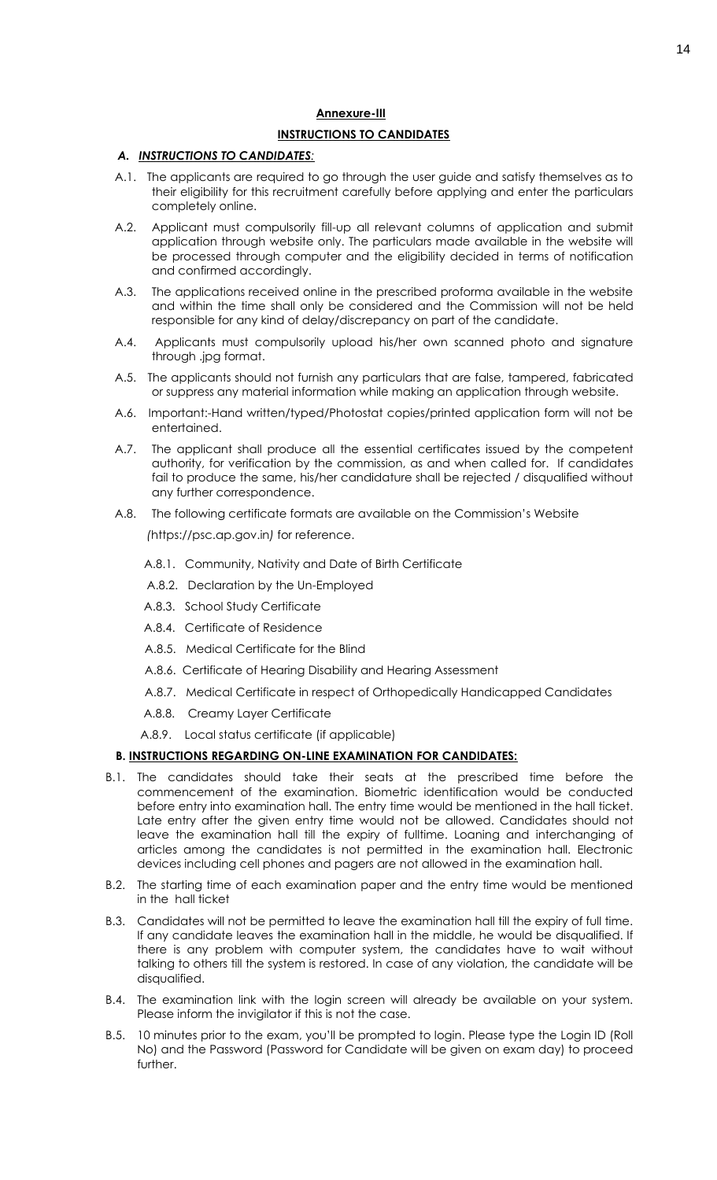#### **Annexure-III**

#### **INSTRUCTIONS TO CANDIDATES**

#### *A. INSTRUCTIONS TO CANDIDATES:*

- A.1. The applicants are required to go through the user guide and satisfy themselves as to their eligibility for this recruitment carefully before applying and enter the particulars completely online.
- A.2. Applicant must compulsorily fill-up all relevant columns of application and submit application through website only. The particulars made available in the website will be processed through computer and the eligibility decided in terms of notification and confirmed accordingly.
- A.3. The applications received online in the prescribed proforma available in the website and within the time shall only be considered and the Commission will not be held responsible for any kind of delay/discrepancy on part of the candidate.
- A.4. Applicants must compulsorily upload his/her own scanned photo and signature through .jpg format.
- A.5. The applicants should not furnish any particulars that are false, tampered, fabricated or suppress any material information while making an application through website.
- A.6. Important:-Hand written/typed/Photostat copies/printed application form will not be entertained.
- A.7. The applicant shall produce all the essential certificates issued by the competent authority, for verification by the commission, as and when called for. If candidates fail to produce the same, his/her candidature shall be rejected / disqualified without any further correspondence.
- A.8. The following certificate formats are available on the Commission's Website
	- *(*https://psc.ap.gov.in*)* for reference.
	- A.8.1. Community, Nativity and Date of Birth Certificate
	- A.8.2. Declaration by the Un-Employed
	- A.8.3. School Study Certificate
	- A.8.4. Certificate of Residence
	- A.8.5. Medical Certificate for the Blind
	- A.8.6. Certificate of Hearing Disability and Hearing Assessment
	- A.8.7. Medical Certificate in respect of Orthopedically Handicapped Candidates
	- A.8.8. Creamy Layer Certificate
	- A.8.9. Local status certificate (if applicable)

#### **B. INSTRUCTIONS REGARDING ON-LINE EXAMINATION FOR CANDIDATES:**

- B.1. The candidates should take their seats at the prescribed time before the commencement of the examination. Biometric identification would be conducted before entry into examination hall. The entry time would be mentioned in the hall ticket. Late entry after the given entry time would not be allowed. Candidates should not leave the examination hall till the expiry of fulltime. Loaning and interchanging of articles among the candidates is not permitted in the examination hall. Electronic devices including cell phones and pagers are not allowed in the examination hall.
- B.2. The starting time of each examination paper and the entry time would be mentioned in the hall ticket
- B.3. Candidates will not be permitted to leave the examination hall till the expiry of full time. If any candidate leaves the examination hall in the middle, he would be disqualified. If there is any problem with computer system, the candidates have to wait without talking to others till the system is restored. In case of any violation, the candidate will be disqualified.
- B.4. The examination link with the login screen will already be available on your system. Please inform the invigilator if this is not the case.
- B.5. 10 minutes prior to the exam, you'll be prompted to login. Please type the Login ID (Roll No) and the Password (Password for Candidate will be given on exam day) to proceed further.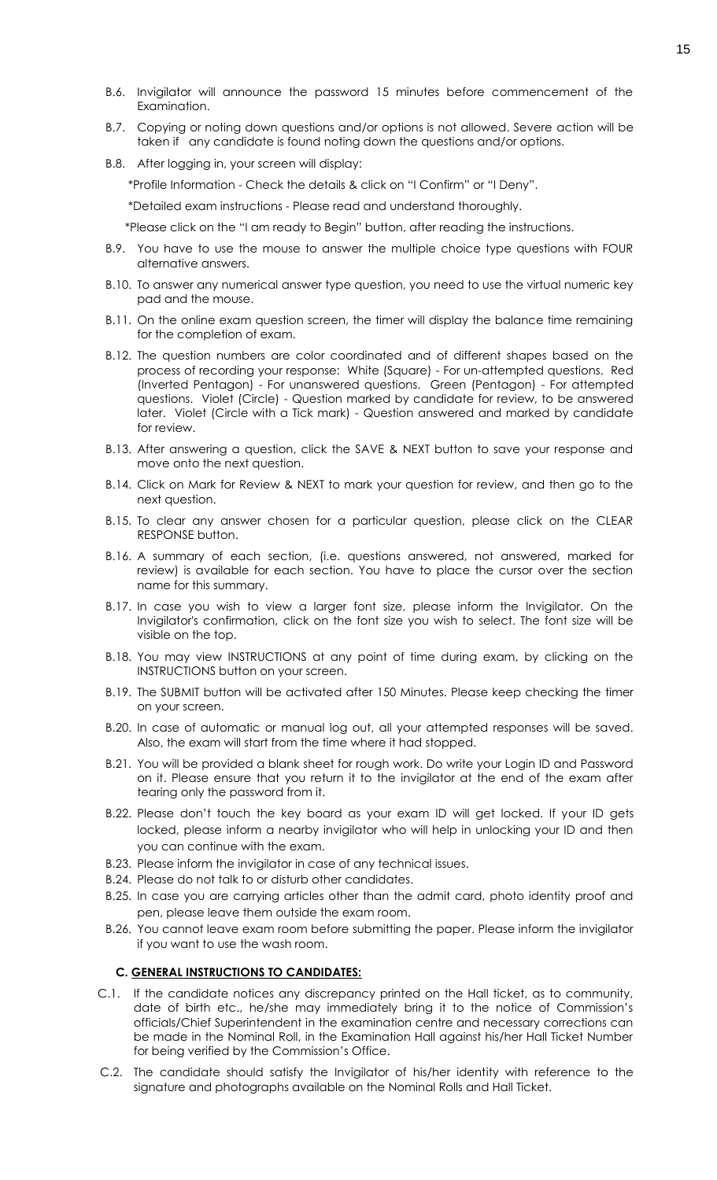- B.6. Invigilator will announce the password 15 minutes before commencement of the Examination.
- B.7. Copying or noting down questions and/or options is not allowed. Severe action will be taken if any candidate is found noting down the questions and/or options.
- B.8. After logging in, your screen will display:

\*Profile Information - Check the details & click on "I Confirm" or "I Deny".

\*Detailed exam instructions - Please read and understand thoroughly.

\*Please click on the "I am ready to Begin" button, after reading the instructions.

- B.9. You have to use the mouse to answer the multiple choice type questions with FOUR alternative answers.
- B.10. To answer any numerical answer type question, you need to use the virtual numeric key pad and the mouse.
- B.11. On the online exam question screen, the timer will display the balance time remaining for the completion of exam.
- B.12. The question numbers are color coordinated and of different shapes based on the process of recording your response: White (Square) - For un-attempted questions. Red (Inverted Pentagon) - For unanswered questions. Green (Pentagon) - For attempted questions. Violet (Circle) - Question marked by candidate for review, to be answered later. Violet (Circle with a Tick mark) - Question answered and marked by candidate for review.
- B.13. After answering a question, click the SAVE & NEXT button to save your response and move onto the next question.
- B.14. Click on Mark for Review & NEXT to mark your question for review, and then go to the next question.
- B.15. To clear any answer chosen for a particular question, please click on the CLEAR RESPONSE button.
- B.16. A summary of each section, (i.e. questions answered, not answered, marked for review) is available for each section. You have to place the cursor over the section name for this summary.
- B.17. In case you wish to view a larger font size, please inform the Invigilator. On the Invigilator's confirmation, click on the font size you wish to select. The font size will be visible on the top.
- B.18. You may view INSTRUCTIONS at any point of time during exam, by clicking on the INSTRUCTIONS button on your screen.
- B.19. The SUBMIT button will be activated after 150 Minutes. Please keep checking the timer on your screen.
- B.20. In case of automatic or manual log out, all your attempted responses will be saved. Also, the exam will start from the time where it had stopped.
- B.21. You will be provided a blank sheet for rough work. Do write your Login ID and Password on it. Please ensure that you return it to the invigilator at the end of the exam after tearing only the password from it.
- B.22. Please don't touch the key board as your exam ID will get locked. If your ID gets locked, please inform a nearby invigilator who will help in unlocking your ID and then you can continue with the exam.
- B.23. Please inform the invigilator in case of any technical issues.
- B.24. Please do not talk to or disturb other candidates.
- B.25. In case you are carrying articles other than the admit card, photo identity proof and pen, please leave them outside the exam room.
- B.26. You cannot leave exam room before submitting the paper. Please inform the invigilator if you want to use the wash room.

#### **C. GENERAL INSTRUCTIONS TO CANDIDATES:**

- C.1. If the candidate notices any discrepancy printed on the Hall ticket, as to community, date of birth etc., he/she may immediately bring it to the notice of Commission's officials/Chief Superintendent in the examination centre and necessary corrections can be made in the Nominal Roll, in the Examination Hall against his/her Hall Ticket Number for being verified by the Commission's Office.
- C.2. The candidate should satisfy the Invigilator of his/her identity with reference to the signature and photographs available on the Nominal Rolls and Hall Ticket.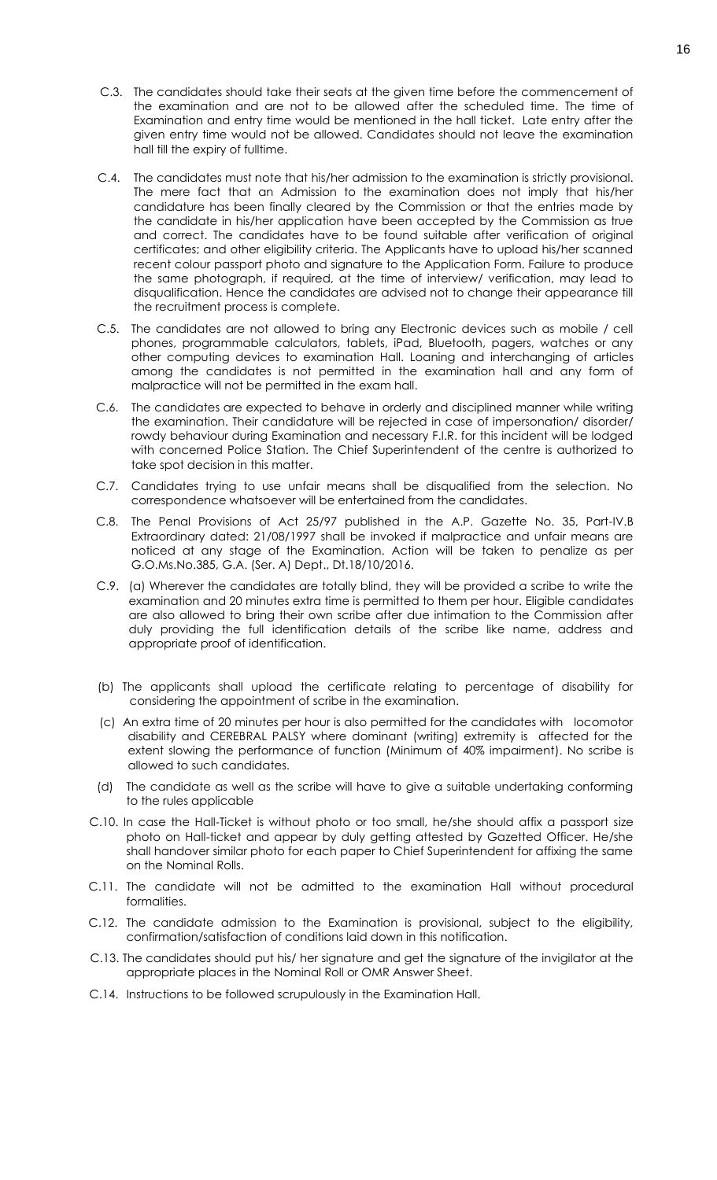- C.3. The candidates should take their seats at the given time before the commencement of the examination and are not to be allowed after the scheduled time. The time of Examination and entry time would be mentioned in the hall ticket. Late entry after the given entry time would not be allowed. Candidates should not leave the examination hall till the expiry of fulltime.
- C.4. The candidates must note that his/her admission to the examination is strictly provisional. The mere fact that an Admission to the examination does not imply that his/her candidature has been finally cleared by the Commission or that the entries made by the candidate in his/her application have been accepted by the Commission as true and correct. The candidates have to be found suitable after verification of original certificates; and other eligibility criteria. The Applicants have to upload his/her scanned recent colour passport photo and signature to the Application Form. Failure to produce the same photograph, if required, at the time of interview/ verification, may lead to disqualification. Hence the candidates are advised not to change their appearance till the recruitment process is complete.
- C.5. The candidates are not allowed to bring any Electronic devices such as mobile / cell phones, programmable calculators, tablets, iPad, Bluetooth, pagers, watches or any other computing devices to examination Hall. Loaning and interchanging of articles among the candidates is not permitted in the examination hall and any form of malpractice will not be permitted in the exam hall.
- C.6. The candidates are expected to behave in orderly and disciplined manner while writing the examination. Their candidature will be rejected in case of impersonation/ disorder/ rowdy behaviour during Examination and necessary F.I.R. for this incident will be lodged with concerned Police Station. The Chief Superintendent of the centre is authorized to take spot decision in this matter.
- C.7. Candidates trying to use unfair means shall be disqualified from the selection. No correspondence whatsoever will be entertained from the candidates.
- C.8. The Penal Provisions of Act 25/97 published in the A.P. Gazette No. 35, Part-IV.B Extraordinary dated: 21/08/1997 shall be invoked if malpractice and unfair means are noticed at any stage of the Examination. Action will be taken to penalize as per G.O.Ms.No.385, G.A. (Ser. A) Dept., Dt.18/10/2016.
- C.9. (a) Wherever the candidates are totally blind, they will be provided a scribe to write the examination and 20 minutes extra time is permitted to them per hour. Eligible candidates are also allowed to bring their own scribe after due intimation to the Commission after duly providing the full identification details of the scribe like name, address and appropriate proof of identification.
- (b) The applicants shall upload the certificate relating to percentage of disability for considering the appointment of scribe in the examination.
- (c) An extra time of 20 minutes per hour is also permitted for the candidates with locomotor disability and CEREBRAL PALSY where dominant (writing) extremity is affected for the extent slowing the performance of function (Minimum of 40% impairment). No scribe is allowed to such candidates.
- (d) The candidate as well as the scribe will have to give a suitable undertaking conforming to the rules applicable
- C.10. In case the Hall-Ticket is without photo or too small, he/she should affix a passport size photo on Hall-ticket and appear by duly getting attested by Gazetted Officer. He/she shall handover similar photo for each paper to Chief Superintendent for affixing the same on the Nominal Rolls.
- C.11. The candidate will not be admitted to the examination Hall without procedural formalities.
- C.12. The candidate admission to the Examination is provisional, subject to the eligibility, confirmation/satisfaction of conditions laid down in this notification.
- C.13. The candidates should put his/ her signature and get the signature of the invigilator at the appropriate places in the Nominal Roll or OMR Answer Sheet.
- C.14. Instructions to be followed scrupulously in the Examination Hall.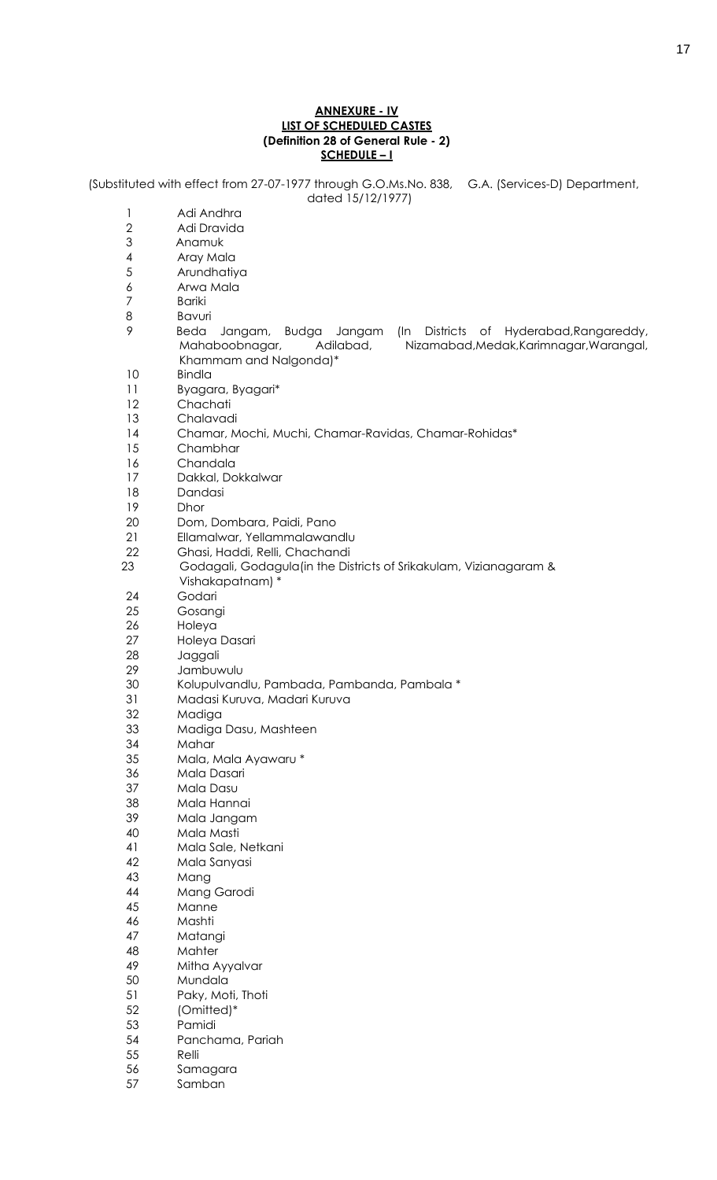#### **ANNEXURE - IV LIST OF SCHEDULED CASTES (Definition 28 of General Rule - 2) SCHEDULE – I**

(Substituted with effect from 27-07-1977 through G.O.Ms.No. 838, G.A. (Services-D) Department, dated 15/12/1977)

- Adi Andhra Adi Dravida
- 3 Anamuk
- Aray Mala
- Arundhatiya
- Arwa Mala
- Bariki
- Bavuri
- 9 Beda Jangam, Budga Jangam (In Districts of Hyderabad,Rangareddy, Mahaboobnagar, Adilabad, Nizamabad,Medak,Karimnagar,Warangal, Khammam and Nalgonda)\*
- Bindla
- Byagara, Byagari\*
- Chachati
- Chalavadi
- Chamar, Mochi, Muchi, Chamar-Ravidas, Chamar-Rohidas\*
- Chambhar
- Chandala
- Dakkal, Dokkalwar
- Dandasi
- Dhor
- Dom, Dombara, Paidi, Pano
- Ellamalwar, Yellammalawandlu
- Ghasi, Haddi, Relli, Chachandi
- 23 Godagali, Godagula(in the Districts of Srikakulam, Vizianagaram & Vishakapatnam) \*
- Godari
- Gosangi
- Holeya
- Holeya Dasari
- Jaggali
- Jambuwulu
- Kolupulvandlu, Pambada, Pambanda, Pambala \*
- Madasi Kuruva, Madari Kuruva
- Madiga
- Madiga Dasu, Mashteen
- Mahar
- Mala, Mala Ayawaru \*
- Mala Dasari
- Mala Dasu
- Mala Hannai
- Mala Jangam
- Mala Masti
- Mala Sale, Netkani
- Mala Sanyasi
- Mang
- Mang Garodi
- Manne
- Mashti
- Matangi
- Mahter Mitha Ayyalvar
- Mundala
- Paky, Moti, Thoti
- (Omitted)\*
- Pamidi
- Panchama, Pariah
- Relli
- Samagara
- Samban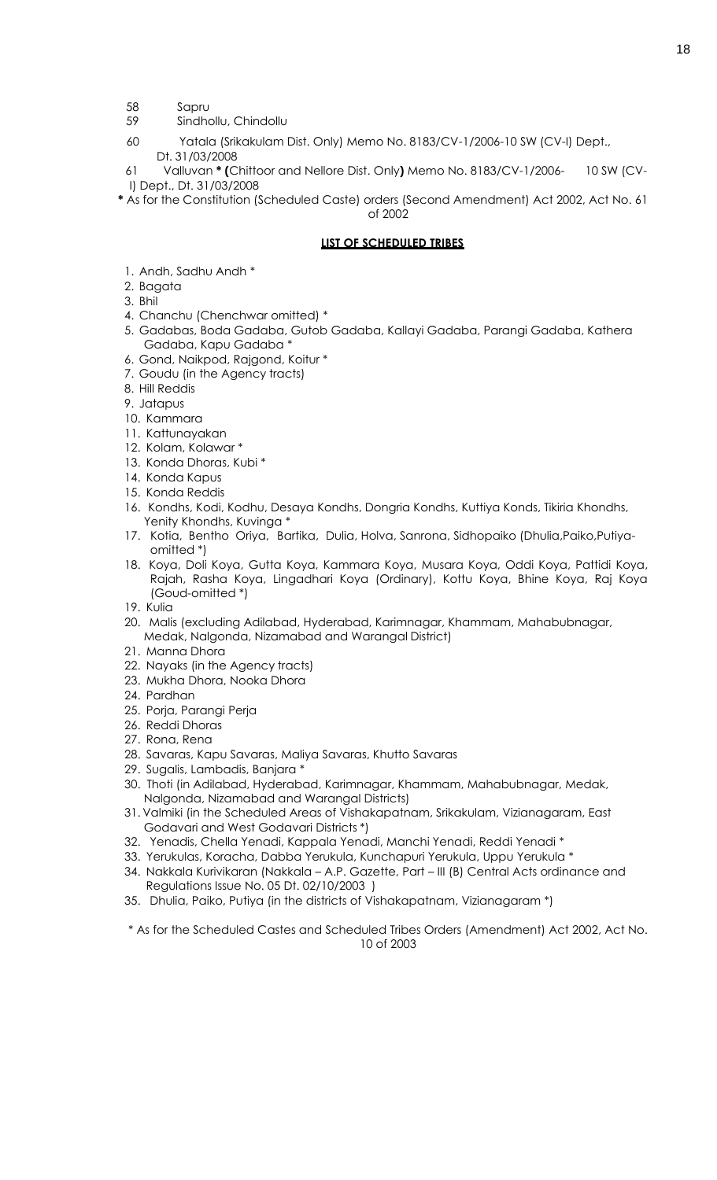- 58 Sapru
- 59 Sindhollu, Chindollu
- 60 Yatala (Srikakulam Dist. Only) Memo No. 8183/CV-1/2006-10 SW (CV-I) Dept., Dt. 31/03/2008

61 Valluvan **\* (**Chittoor and Nellore Dist. Only**)** Memo No. 8183/CV-1/2006- 10 SW (CV-I) Dept., Dt. 31/03/2008

**\*** As for the Constitution (Scheduled Caste) orders (Second Amendment) Act 2002, Act No. 61 of 2002

# **LIST OF SCHEDULED TRIBES**

- 1. Andh, Sadhu Andh \*
- 2. Bagata
- 3. Bhil
- 4. Chanchu (Chenchwar omitted) \*
- 5. Gadabas, Boda Gadaba, Gutob Gadaba, Kallayi Gadaba, Parangi Gadaba, Kathera Gadaba, Kapu Gadaba \*
- 6. Gond, Naikpod, Rajgond, Koitur \*
- 7. Goudu (in the Agency tracts)
- 8. Hill Reddis
- 9. Jatapus
- 10. Kammara
- 11. Kattunayakan
- 12. Kolam, Kolawar \*
- 13. Konda Dhoras, Kubi \*
- 14. Konda Kapus
- 15. Konda Reddis
- 16. Kondhs, Kodi, Kodhu, Desaya Kondhs, Dongria Kondhs, Kuttiya Konds, Tikiria Khondhs, Yenity Khondhs, Kuvinga \*
- 17. Kotia, Bentho Oriya, Bartika, Dulia, Holva, Sanrona, Sidhopaiko (Dhulia,Paiko,Putiyaomitted \*)
- 18. Koya, Doli Koya, Gutta Koya, Kammara Koya, Musara Koya, Oddi Koya, Pattidi Koya, Rajah, Rasha Koya, Lingadhari Koya (Ordinary), Kottu Koya, Bhine Koya, Raj Koya (Goud-omitted \*)
- 19. Kulia
- 20. Malis (excluding Adilabad, Hyderabad, Karimnagar, Khammam, Mahabubnagar, Medak, Nalgonda, Nizamabad and Warangal District)
- 21. Manna Dhora
- 22. Nayaks (in the Agency tracts)
- 23. Mukha Dhora, Nooka Dhora
- 24. Pardhan
- 25. Porja, Parangi Perja
- 26. Reddi Dhoras
- 27. Rona, Rena
- 28. Savaras, Kapu Savaras, Maliya Savaras, Khutto Savaras
- 29. Sugalis, Lambadis, Banjara \*
- 30. Thoti (in Adilabad, Hyderabad, Karimnagar, Khammam, Mahabubnagar, Medak, Nalgonda, Nizamabad and Warangal Districts)
- 31. Valmiki (in the Scheduled Areas of Vishakapatnam, Srikakulam, Vizianagaram, East Godavari and West Godavari Districts \*)
- 32. Yenadis, Chella Yenadi, Kappala Yenadi, Manchi Yenadi, Reddi Yenadi \*
- 33. Yerukulas, Koracha, Dabba Yerukula, Kunchapuri Yerukula, Uppu Yerukula \*
- 34. Nakkala Kurivikaran (Nakkala A.P. Gazette, Part III (B) Central Acts ordinance and Regulations Issue No. 05 Dt. 02/10/2003 )
- 35. Dhulia, Paiko, Putiya (in the districts of Vishakapatnam, Vizianagaram \*)

\* As for the Scheduled Castes and Scheduled Tribes Orders (Amendment) Act 2002, Act No. 10 of 2003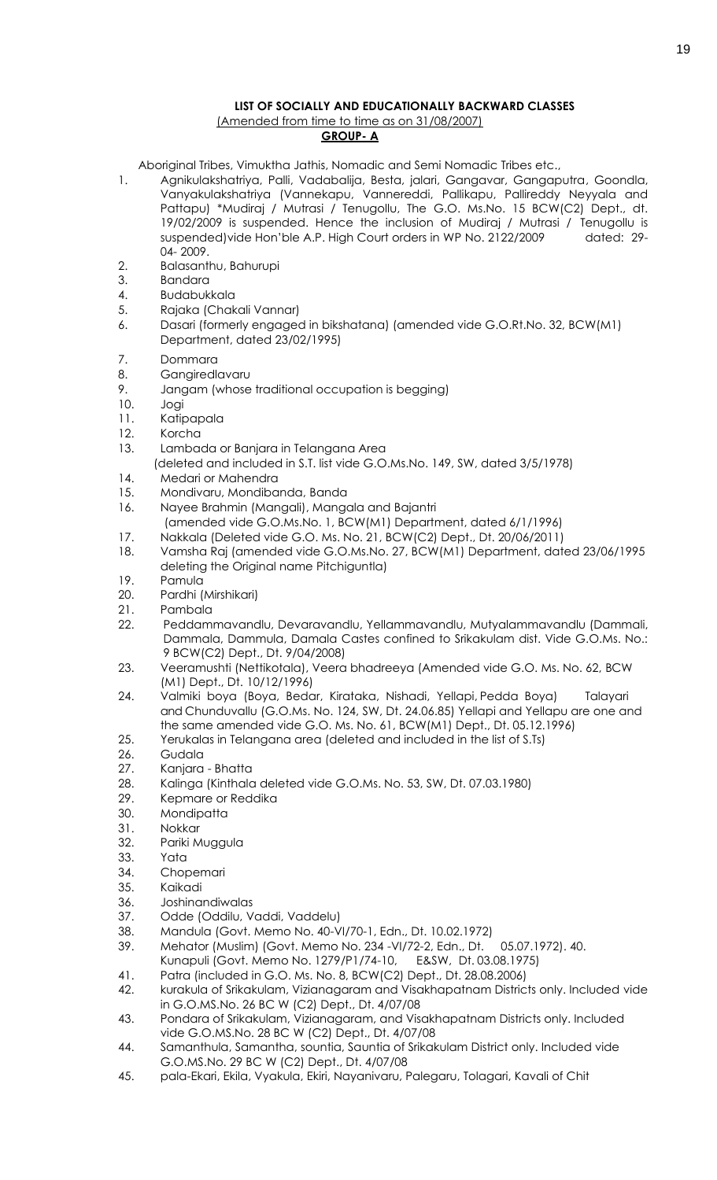# **LIST OF SOCIALLY AND EDUCATIONALLY BACKWARD CLASSES** (Amended from time to time as on 31/08/2007)

# **GROUP- A**

Aboriginal Tribes, Vimuktha Jathis, Nomadic and Semi Nomadic Tribes etc.,

- 1. Agnikulakshatriya, Palli, Vadabalija, Besta, jalari, Gangavar, Gangaputra, Goondla, Vanyakulakshatriya (Vannekapu, Vannereddi, Pallikapu, Pallireddy Neyyala and Pattapu) \*Mudiraj / Mutrasi / Tenugollu, The G.O. Ms.No. 15 BCW(C2) Dept., dt. 19/02/2009 is suspended. Hence the inclusion of Mudiraj / Mutrasi / Tenugollu is suspended) vide Hon'ble A.P. High Court orders in WP No. 2122/2009 dated: 29-04- 2009.
- 2. Balasanthu, Bahurupi
- 3. Bandara
- 4. Budabukkala
- 5. Rajaka (Chakali Vannar)
- 6. Dasari (formerly engaged in bikshatana) (amended vide G.O.Rt.No. 32, BCW(M1) Department, dated 23/02/1995)
- 7. Dommara
- 8. Gangiredlavaru
- 9. Jangam (whose traditional occupation is begging)
- 10. Jogi
- 11. Katipapala
- 12. Korcha
- 13. Lambada or Banjara in Telangana Area
- (deleted and included in S.T. list vide G.O.Ms.No. 149, SW, dated 3/5/1978)
- 14. Medari or Mahendra
- 15. Mondivaru, Mondibanda, Banda
- 16. Nayee Brahmin (Mangali), Mangala and Bajantri
	- (amended vide G.O.Ms.No. 1, BCW(M1) Department, dated 6/1/1996)
- 17. Nakkala (Deleted vide G.O. Ms. No. 21, BCW(C2) Dept., Dt. 20/06/2011)
- 18. Vamsha Raj (amended vide G.O.Ms.No. 27, BCW(M1) Department, dated 23/06/1995 deleting the Original name Pitchiguntla)
- 19. Pamula
- 20. Pardhi (Mirshikari)
- 21. Pambala
- 22. Peddammavandlu, Devaravandlu, Yellammavandlu, Mutyalammavandlu (Dammali, Dammala, Dammula, Damala Castes confined to Srikakulam dist. Vide G.O.Ms. No.: 9 BCW(C2) Dept., Dt. 9/04/2008)
- 23. Veeramushti (Nettikotala), Veera bhadreeya (Amended vide G.O. Ms. No. 62, BCW (M1) Dept., Dt. 10/12/1996)
- 24. Valmiki boya (Boya, Bedar, Kirataka, Nishadi, Yellapi, Pedda Boya) Talayari and Chunduvallu (G.O.Ms. No. 124, SW, Dt. 24.06.85) Yellapi and Yellapu are one and the same amended vide G.O. Ms. No. 61, BCW(M1) Dept., Dt. 05.12.1996)
- 25. Yerukalas in Telangana area (deleted and included in the list of S.Ts)
- 26. Gudala
- 27. Kanjara Bhatta
- 28. Kalinga (Kinthala deleted vide G.O.Ms. No. 53, SW, Dt. 07.03.1980)
- 29. Kepmare or Reddika
- 30. Mondipatta
- 31. Nokkar
- 32. Pariki Muggula
- 33. Yata
- 34. Chopemari
- 35. Kaikadi
- 36. Joshinandiwalas
- 37. Odde (Oddilu, Vaddi, Vaddelu)
- 38. Mandula (Govt. Memo No. 40-VI/70-1, Edn., Dt. 10.02.1972)
- 39. Mehator (Muslim) (Govt. Memo No. 234 -VI/72-2, Edn., Dt. 05.07.1972). 40.
	- Kunapuli (Govt. Memo No. 1279/P1/74-10, E&SW, Dt. 03.08.1975)
- 41. Patra (included in G.O. Ms. No. 8, BCW(C2) Dept., Dt. 28.08.2006)
- 42. kurakula of Srikakulam, Vizianagaram and Visakhapatnam Districts only. Included vide in G.O.MS.No. 26 BC W (C2) Dept., Dt. 4/07/08
- 43. Pondara of Srikakulam, Vizianagaram, and Visakhapatnam Districts only. Included vide G.O.MS.No. 28 BC W (C2) Dept., Dt. 4/07/08
- 44. Samanthula, Samantha, sountia, Sauntia of Srikakulam District only. Included vide G.O.MS.No. 29 BC W (C2) Dept., Dt. 4/07/08
- 45. pala-Ekari, Ekila, Vyakula, Ekiri, Nayanivaru, Palegaru, Tolagari, Kavali of Chit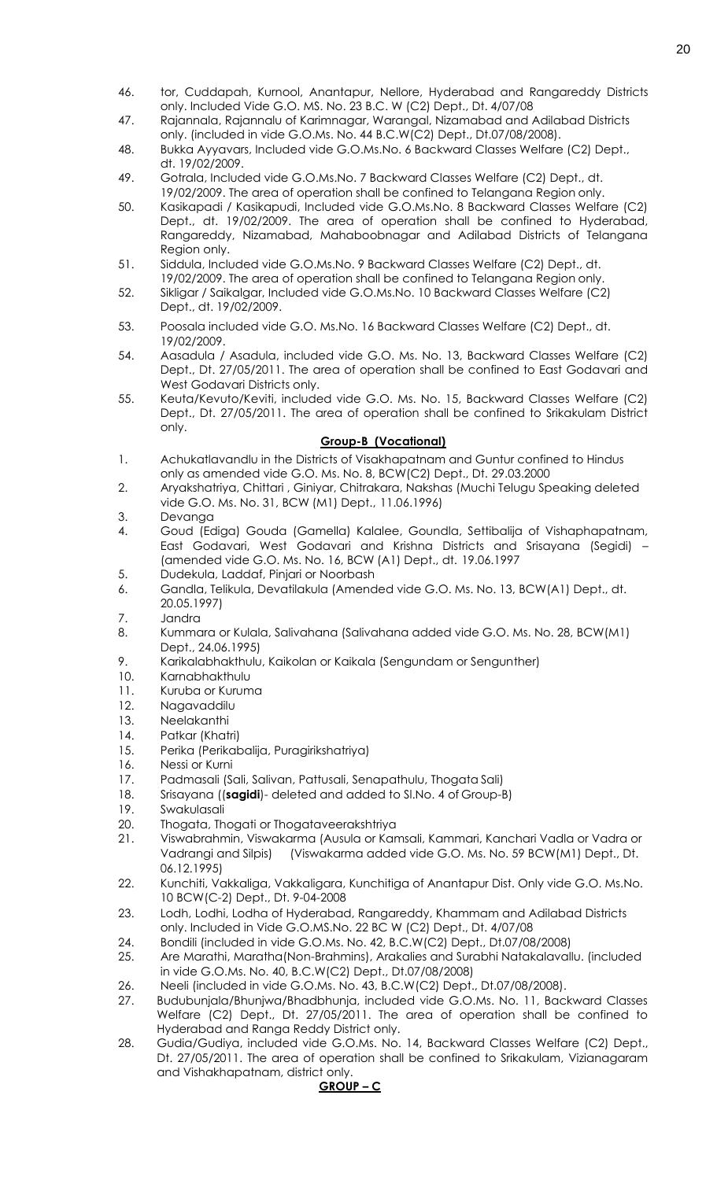- 46. tor, Cuddapah, Kurnool, Anantapur, Nellore, Hyderabad and Rangareddy Districts only. Included Vide G.O. MS. No. 23 B.C. W (C2) Dept., Dt. 4/07/08
- 47. Rajannala, Rajannalu of Karimnagar, Warangal, Nizamabad and Adilabad Districts only. (included in vide G.O.Ms. No. 44 B.C.W(C2) Dept., Dt.07/08/2008).
- 48. Bukka Ayyavars, Included vide G.O.Ms.No. 6 Backward Classes Welfare (C2) Dept., dt. 19/02/2009.
- 49. Gotrala, Included vide G.O.Ms.No. 7 Backward Classes Welfare (C2) Dept., dt. 19/02/2009. The area of operation shall be confined to Telangana Region only.
- 50. Kasikapadi / Kasikapudi, Included vide G.O.Ms.No. 8 Backward Classes Welfare (C2) Dept., dt. 19/02/2009. The area of operation shall be confined to Hyderabad, Rangareddy, Nizamabad, Mahaboobnagar and Adilabad Districts of Telangana Region only.
- 51. Siddula, Included vide G.O.Ms.No. 9 Backward Classes Welfare (C2) Dept., dt. 19/02/2009. The area of operation shall be confined to Telangana Region only.
- 52. Sikligar / Saikalgar, Included vide G.O.Ms.No. 10 Backward Classes Welfare (C2) Dept., dt. 19/02/2009.
- 53. Poosala included vide G.O. Ms.No. 16 Backward Classes Welfare (C2) Dept., dt. 19/02/2009.
- 54. Aasadula / Asadula, included vide G.O. Ms. No. 13, Backward Classes Welfare (C2) Dept., Dt. 27/05/2011. The area of operation shall be confined to East Godavari and West Godavari Districts only.
- 55. Keuta/Kevuto/Keviti, included vide G.O. Ms. No. 15, Backward Classes Welfare (C2) Dept., Dt. 27/05/2011. The area of operation shall be confined to Srikakulam District only.

# **Group-B (Vocational)**

- 1. Achukatlavandlu in the Districts of Visakhapatnam and Guntur confined to Hindus only as amended vide G.O. Ms. No. 8, BCW(C2) Dept., Dt. 29.03.2000
- 2. Aryakshatriya, Chittari , Giniyar, Chitrakara, Nakshas (Muchi Telugu Speaking deleted vide G.O. Ms. No. 31, BCW (M1) Dept., 11.06.1996)
- 3. Devanga
- 4. Goud (Ediga) Gouda (Gamella) Kalalee, Goundla, Settibalija of Vishaphapatnam, East Godavari, West Godavari and Krishna Districts and Srisayana (Segidi) – (amended vide G.O. Ms. No. 16, BCW (A1) Dept., dt. 19.06.1997
- 5. Dudekula, Laddaf, Pinjari or Noorbash
- 6. Gandla, Telikula, Devatilakula (Amended vide G.O. Ms. No. 13, BCW(A1) Dept., dt. 20.05.1997)
- 7. Jandra
- 8. Kummara or Kulala, Salivahana (Salivahana added vide G.O. Ms. No. 28, BCW(M1) Dept., 24.06.1995)
- 9. Karikalabhakthulu, Kaikolan or Kaikala (Sengundam or Sengunther)
- 10. Karnabhakthulu
- 11. Kuruba or Kuruma
- 12. Nagavaddilu
- 13. Neelakanthi
- 14. Patkar (Khatri)
- 15. Perika (Perikabalija, Puragirikshatriya)
- 16. Nessi or Kurni
- 17. Padmasali (Sali, Salivan, Pattusali, Senapathulu, Thogata Sali)
- 18. Srisayana ((**sagidi**)- deleted and added to Sl.No. 4 of Group-B)
- 19. Swakulasali
- 20. Thogata, Thogati or Thogataveerakshtriya
- 21. Viswabrahmin, Viswakarma (Ausula or Kamsali, Kammari, Kanchari Vadla or Vadra or Vadrangi and Silpis) (Viswakarma added vide G.O. Ms. No. 59 BCW(M1) Dept., Dt. 06.12.1995)
- 22. Kunchiti, Vakkaliga, Vakkaligara, Kunchitiga of Anantapur Dist. Only vide G.O. Ms.No. 10 BCW(C-2) Dept., Dt. 9-04-2008
- 23. Lodh, Lodhi, Lodha of Hyderabad, Rangareddy, Khammam and Adilabad Districts only. Included in Vide G.O.MS.No. 22 BC W (C2) Dept., Dt. 4/07/08
- 24. Bondili (included in vide G.O.Ms. No. 42, B.C.W(C2) Dept., Dt.07/08/2008)
- 25. Are Marathi, Maratha(Non-Brahmins), Arakalies and Surabhi Natakalavallu. (included in vide G.O.Ms. No. 40, B.C.W(C2) Dept., Dt.07/08/2008)
- 26. Neeli (included in vide G.O.Ms. No. 43, B.C.W(C2) Dept., Dt.07/08/2008).
- 27. Budubunjala/Bhunjwa/Bhadbhunja, included vide G.O.Ms. No. 11, Backward Classes Welfare (C2) Dept., Dt. 27/05/2011. The area of operation shall be confined to Hyderabad and Ranga Reddy District only.
- 28. Gudia/Gudiya, included vide G.O.Ms. No. 14, Backward Classes Welfare (C2) Dept., Dt. 27/05/2011. The area of operation shall be confined to Srikakulam, Vizianagaram and Vishakhapatnam, district only.

# **GROUP – C**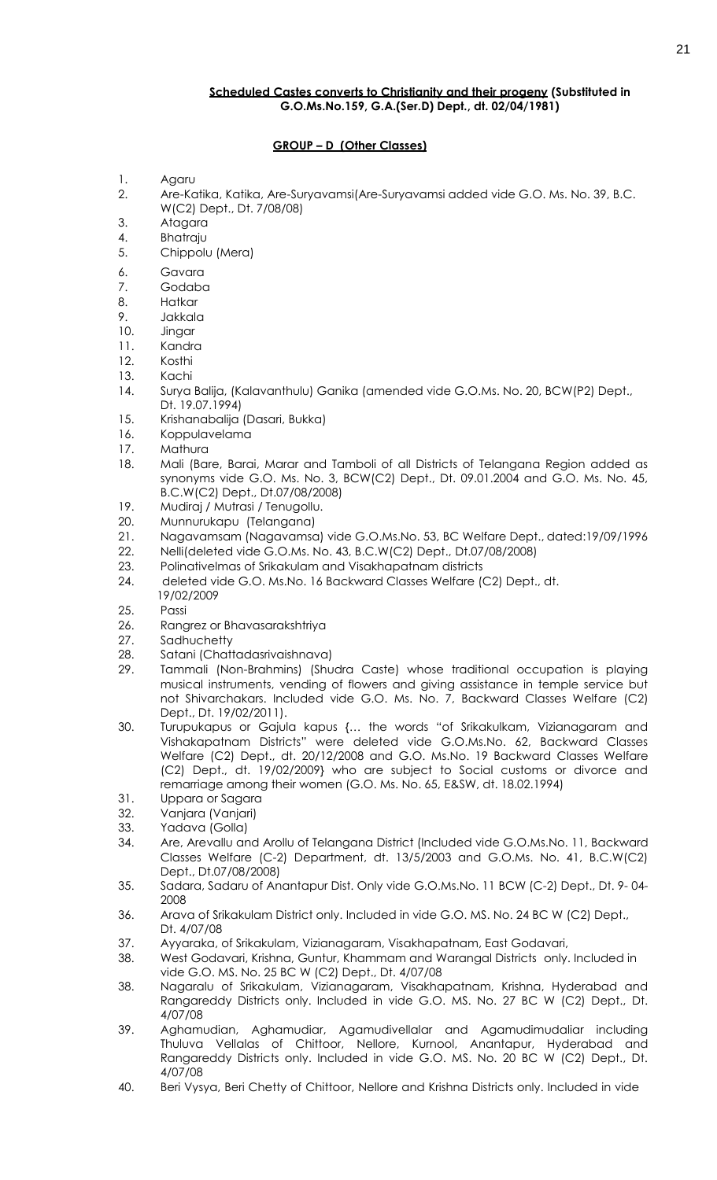# **Scheduled Castes converts to Christianity and their progeny (Substituted in G.O.Ms.No.159, G.A.(Ser.D) Dept., dt. 02/04/1981)**

# **GROUP – D (Other Classes)**

- 1. Agaru
- 2. Are-Katika, Katika, Are-Suryavamsi(Are-Suryavamsi added vide G.O. Ms. No. 39, B.C. W(C2) Dept., Dt. 7/08/08)
- 3. Atagara
- 4. Bhatraju
- 5. Chippolu (Mera)
- 6. Gavara
- 7. Godaba
- 8. Hatkar
- 9. Jakkala
- 10. Jingar
- 11. Kandra
- 12. Kosthi
- 13. Kachi
- 14. Surya Balija, (Kalavanthulu) Ganika (amended vide G.O.Ms. No. 20, BCW(P2) Dept., Dt. 19.07.1994)
- 15. Krishanabalija (Dasari, Bukka)
- 16. Koppulavelama
- 17. Mathura
- 18. Mali (Bare, Barai, Marar and Tamboli of all Districts of Telangana Region added as synonyms vide G.O. Ms. No. 3, BCW(C2) Dept., Dt. 09.01.2004 and G.O. Ms. No. 45, B.C.W(C2) Dept., Dt.07/08/2008)
- 19. Mudiraj / Mutrasi / Tenugollu.
- 20. Munnurukapu (Telangana)
- 21. Nagavamsam (Nagavamsa) vide G.O.Ms.No. 53, BC Welfare Dept., dated:19/09/1996
- 22. Nelli(deleted vide G.O.Ms. No. 43, B.C.W(C2) Dept., Dt.07/08/2008)
- 23. Polinativelmas of Srikakulam and Visakhapatnam districts
- 24. deleted vide G.O. Ms.No. 16 Backward Classes Welfare (C2) Dept., dt. 19/02/2009
- 25. Passi
- 
- 26. Rangrez or Bhavasarakshtriya
- 27. Sadhuchetty
- 28. Satani (Chattadasrivaishnava)
- 29. Tammali (Non-Brahmins) (Shudra Caste) whose traditional occupation is playing musical instruments, vending of flowers and giving assistance in temple service but not Shivarchakars. Included vide G.O. Ms. No. 7, Backward Classes Welfare (C2) Dept., Dt. 19/02/2011).
- 30. Turupukapus or Gajula kapus {… the words "of Srikakulkam, Vizianagaram and Vishakapatnam Districts" were deleted vide G.O.Ms.No. 62, Backward Classes Welfare (C2) Dept., dt. 20/12/2008 and G.O. Ms.No. 19 Backward Classes Welfare (C2) Dept., dt. 19/02/2009} who are subject to Social customs or divorce and remarriage among their women (G.O. Ms. No. 65, E&SW, dt. 18.02.1994)
- 31. Uppara or Sagara
- 32. Vanjara (Vanjari)
- 33. Yadava (Golla)
- 34. Are, Arevallu and Arollu of Telangana District (Included vide G.O.Ms.No. 11, Backward Classes Welfare (C-2) Department, dt. 13/5/2003 and G.O.Ms. No. 41, B.C.W(C2) Dept., Dt.07/08/2008)
- 35. Sadara, Sadaru of Anantapur Dist. Only vide G.O.Ms.No. 11 BCW (C-2) Dept., Dt. 9- 04- 2008
- 36. Arava of Srikakulam District only. Included in vide G.O. MS. No. 24 BC W (C2) Dept., Dt. 4/07/08
- 37. Ayyaraka, of Srikakulam, Vizianagaram, Visakhapatnam, East Godavari,
- 38. West Godavari, Krishna, Guntur, Khammam and Warangal Districts only. Included in vide G.O. MS. No. 25 BC W (C2) Dept., Dt. 4/07/08
- 38. Nagaralu of Srikakulam, Vizianagaram, Visakhapatnam, Krishna, Hyderabad and Rangareddy Districts only. Included in vide G.O. MS. No. 27 BC W (C2) Dept., Dt. 4/07/08
- 39. Aghamudian, Aghamudiar, Agamudivellalar and Agamudimudaliar including Thuluva Vellalas of Chittoor, Nellore, Kurnool, Anantapur, Hyderabad and Rangareddy Districts only. Included in vide G.O. MS. No. 20 BC W (C2) Dept., Dt. 4/07/08
- 40. Beri Vysya, Beri Chetty of Chittoor, Nellore and Krishna Districts only. Included in vide